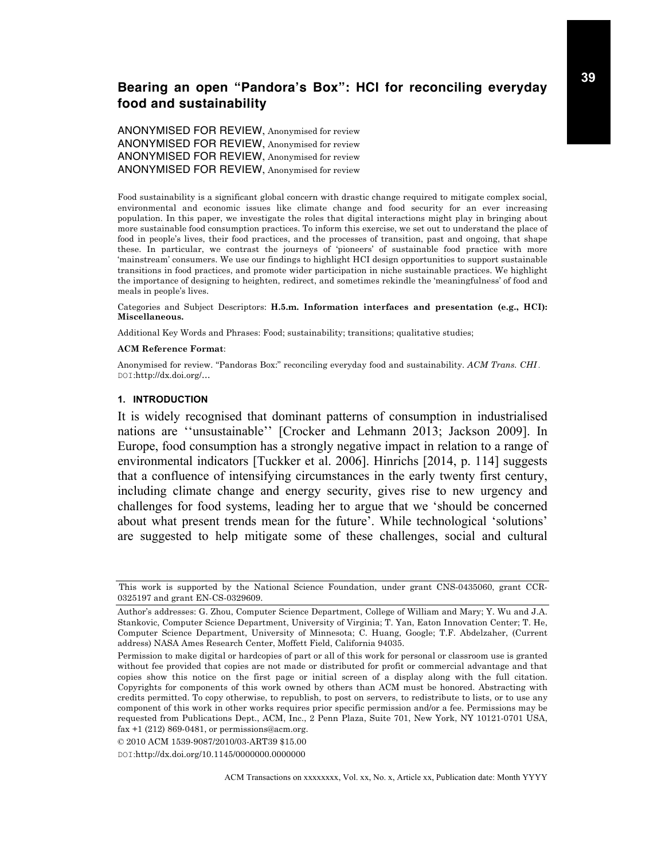## **Bearing an open "Pandora's Box": HCI for reconciling everyday food and sustainability**

ANONYMISED FOR REVIEW, Anonymised for review ANONYMISED FOR REVIEW, Anonymised for review ANONYMISED FOR REVIEW, Anonymised for review ANONYMISED FOR REVIEW, Anonymised for review

Food sustainability is a significant global concern with drastic change required to mitigate complex social, environmental and economic issues like climate change and food security for an ever increasing population. In this paper, we investigate the roles that digital interactions might play in bringing about more sustainable food consumption practices. To inform this exercise, we set out to understand the place of food in people's lives, their food practices, and the processes of transition, past and ongoing, that shape these. In particular, we contrast the journeys of 'pioneers' of sustainable food practice with more 'mainstream' consumers. We use our findings to highlight HCI design opportunities to support sustainable transitions in food practices, and promote wider participation in niche sustainable practices. We highlight the importance of designing to heighten, redirect, and sometimes rekindle the 'meaningfulness' of food and meals in people's lives.

Categories and Subject Descriptors: **H.5.m. Information interfaces and presentation (e.g., HCI): Miscellaneous.** 

Additional Key Words and Phrases: Food; sustainability; transitions; qualitative studies;

#### **ACM Reference Format**:

Anonymised for review. "Pandoras Box:" reconciling everyday food and sustainability. *ACM Trans. CHI .*  DOI:http://dx.doi.org/…

#### **1. INTRODUCTION**

It is widely recognised that dominant patterns of consumption in industrialised nations are ''unsustainable'' [Crocker and Lehmann 2013; Jackson 2009]. In Europe, food consumption has a strongly negative impact in relation to a range of environmental indicators [Tuckker et al. 2006]. Hinrichs [2014, p. 114] suggests that a confluence of intensifying circumstances in the early twenty first century, including climate change and energy security, gives rise to new urgency and challenges for food systems, leading her to argue that we 'should be concerned about what present trends mean for the future'. While technological 'solutions' are suggested to help mitigate some of these challenges, social and cultural

© 2010 ACM 1539-9087/2010/03-ART39 \$15.00

DOI:http://dx.doi.org/10.1145/0000000.0000000

ACM Transactions on xxxxxxxx, Vol. xx, No. x, Article xx, Publication date: Month YYYY

This work is supported by the National Science Foundation, under grant CNS-0435060, grant CCR-0325197 and grant EN-CS-0329609.

Author's addresses: G. Zhou, Computer Science Department, College of William and Mary; Y. Wu and J.A. Stankovic, Computer Science Department, University of Virginia; T. Yan, Eaton Innovation Center; T. He, Computer Science Department, University of Minnesota; C. Huang, Google; T.F. Abdelzaher, (Current address) NASA Ames Research Center, Moffett Field, California 94035.

Permission to make digital or hardcopies of part or all of this work for personal or classroom use is granted without fee provided that copies are not made or distributed for profit or commercial advantage and that copies show this notice on the first page or initial screen of a display along with the full citation. Copyrights for components of this work owned by others than ACM must be honored. Abstracting with credits permitted. To copy otherwise, to republish, to post on servers, to redistribute to lists, or to use any component of this work in other works requires prior specific permission and/or a fee. Permissions may be requested from Publications Dept., ACM, Inc., 2 Penn Plaza, Suite 701, New York, NY 10121-0701 USA, fax +1 (212) 869-0481, or permissions@acm.org.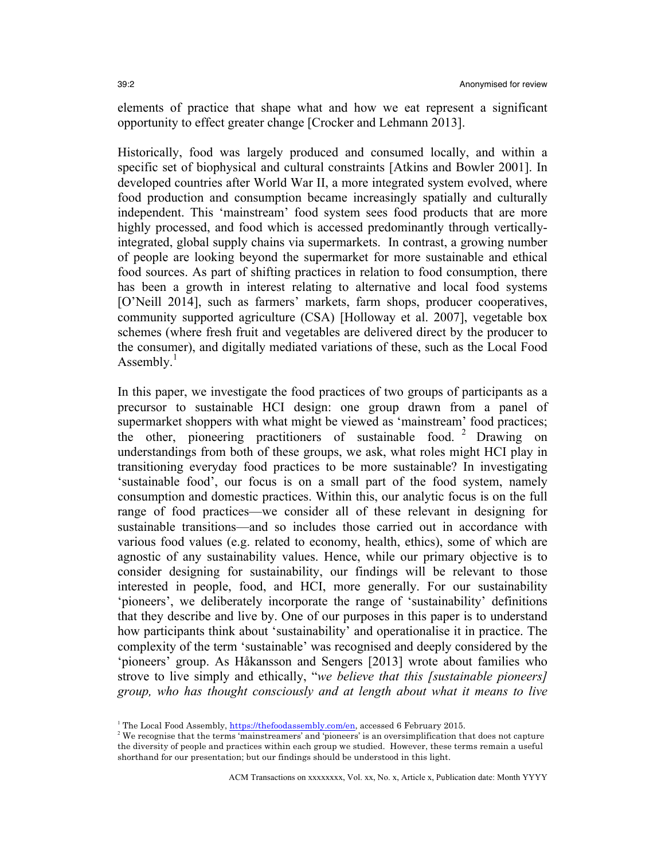elements of practice that shape what and how we eat represent a significant opportunity to effect greater change [Crocker and Lehmann 2013].

Historically, food was largely produced and consumed locally, and within a specific set of biophysical and cultural constraints [Atkins and Bowler 2001]. In developed countries after World War II, a more integrated system evolved, where food production and consumption became increasingly spatially and culturally independent. This 'mainstream' food system sees food products that are more highly processed, and food which is accessed predominantly through verticallyintegrated, global supply chains via supermarkets. In contrast, a growing number of people are looking beyond the supermarket for more sustainable and ethical food sources. As part of shifting practices in relation to food consumption, there has been a growth in interest relating to alternative and local food systems [O'Neill 2014], such as farmers' markets, farm shops, producer cooperatives, community supported agriculture (CSA) [Holloway et al. 2007], vegetable box schemes (where fresh fruit and vegetables are delivered direct by the producer to the consumer), and digitally mediated variations of these, such as the Local Food Assembly. $<sup>1</sup>$ </sup>

In this paper, we investigate the food practices of two groups of participants as a precursor to sustainable HCI design: one group drawn from a panel of supermarket shoppers with what might be viewed as 'mainstream' food practices; the other, pioneering practitioners of sustainable food. <sup>2</sup> Drawing on understandings from both of these groups, we ask, what roles might HCI play in transitioning everyday food practices to be more sustainable? In investigating 'sustainable food', our focus is on a small part of the food system, namely consumption and domestic practices. Within this, our analytic focus is on the full range of food practices—we consider all of these relevant in designing for sustainable transitions—and so includes those carried out in accordance with various food values (e.g. related to economy, health, ethics), some of which are agnostic of any sustainability values. Hence, while our primary objective is to consider designing for sustainability, our findings will be relevant to those interested in people, food, and HCI, more generally. For our sustainability 'pioneers', we deliberately incorporate the range of 'sustainability' definitions that they describe and live by. One of our purposes in this paper is to understand how participants think about 'sustainability' and operationalise it in practice. The complexity of the term 'sustainable' was recognised and deeply considered by the 'pioneers' group. As Håkansson and Sengers [2013] wrote about families who strove to live simply and ethically, "*we believe that this [sustainable pioneers] group, who has thought consciously and at length about what it means to live* 

<sup>&</sup>lt;sup>1</sup> The Local Food Assembly, https://thefoodassembly.com/en, accessed 6 February 2015.

<sup>&</sup>lt;sup>2</sup> We recognise that the terms 'mainstreamers' and 'pioneers' is an oversimplification that does not capture the diversity of people and practices within each group we studied. However, these terms remain a useful shorthand for our presentation; but our findings should be understood in this light.

ACM Transactions on xxxxxxxx, Vol. xx, No. x, Article x, Publication date: Month YYYY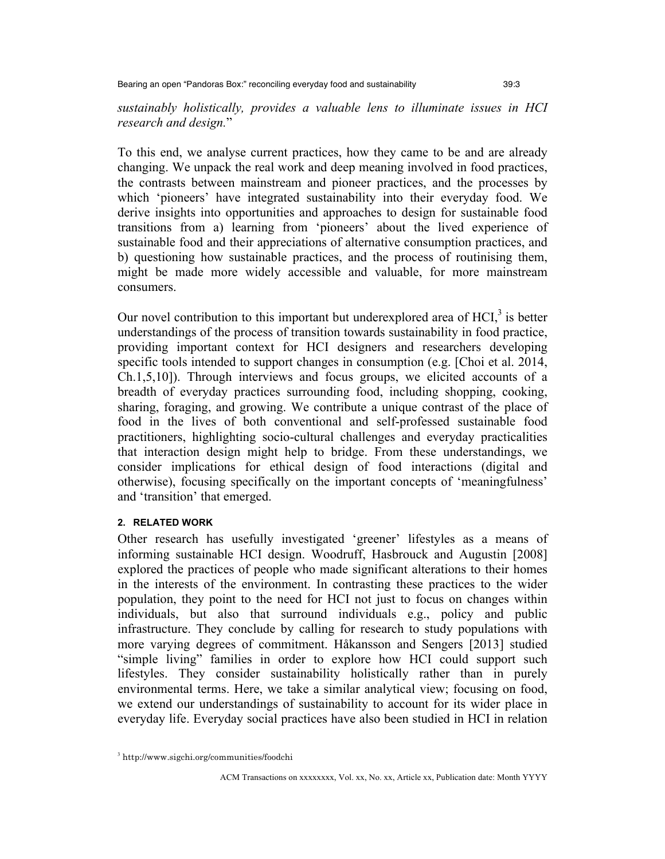*sustainably holistically, provides a valuable lens to illuminate issues in HCI research and design.*"

To this end, we analyse current practices, how they came to be and are already changing. We unpack the real work and deep meaning involved in food practices, the contrasts between mainstream and pioneer practices, and the processes by which 'pioneers' have integrated sustainability into their everyday food. We derive insights into opportunities and approaches to design for sustainable food transitions from a) learning from 'pioneers' about the lived experience of sustainable food and their appreciations of alternative consumption practices, and b) questioning how sustainable practices, and the process of routinising them, might be made more widely accessible and valuable, for more mainstream consumers.

Our novel contribution to this important but underexplored area of  $HCI<sup>3</sup>$  is better understandings of the process of transition towards sustainability in food practice, providing important context for HCI designers and researchers developing specific tools intended to support changes in consumption (e.g. [Choi et al. 2014, Ch.1,5,10]). Through interviews and focus groups, we elicited accounts of a breadth of everyday practices surrounding food, including shopping, cooking, sharing, foraging, and growing. We contribute a unique contrast of the place of food in the lives of both conventional and self-professed sustainable food practitioners, highlighting socio-cultural challenges and everyday practicalities that interaction design might help to bridge. From these understandings, we consider implications for ethical design of food interactions (digital and otherwise), focusing specifically on the important concepts of 'meaningfulness' and 'transition' that emerged.

#### **2. RELATED WORK**

Other research has usefully investigated 'greener' lifestyles as a means of informing sustainable HCI design. Woodruff, Hasbrouck and Augustin [2008] explored the practices of people who made significant alterations to their homes in the interests of the environment. In contrasting these practices to the wider population, they point to the need for HCI not just to focus on changes within individuals, but also that surround individuals e.g., policy and public infrastructure. They conclude by calling for research to study populations with more varying degrees of commitment. Håkansson and Sengers [2013] studied "simple living" families in order to explore how HCI could support such lifestyles. They consider sustainability holistically rather than in purely environmental terms. Here, we take a similar analytical view; focusing on food, we extend our understandings of sustainability to account for its wider place in everyday life. Everyday social practices have also been studied in HCI in relation

<sup>3</sup> http://www.sigchi.org/communities/foodchi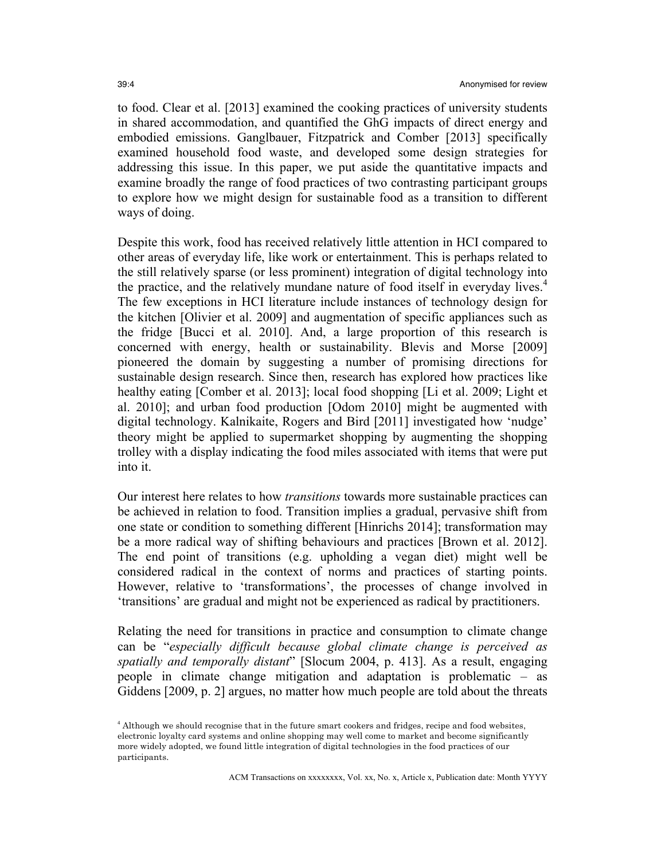to food. Clear et al. [2013] examined the cooking practices of university students in shared accommodation, and quantified the GhG impacts of direct energy and embodied emissions. Ganglbauer, Fitzpatrick and Comber [2013] specifically examined household food waste, and developed some design strategies for addressing this issue. In this paper, we put aside the quantitative impacts and examine broadly the range of food practices of two contrasting participant groups to explore how we might design for sustainable food as a transition to different ways of doing.

Despite this work, food has received relatively little attention in HCI compared to other areas of everyday life, like work or entertainment. This is perhaps related to the still relatively sparse (or less prominent) integration of digital technology into the practice, and the relatively mundane nature of food itself in everyday lives. 4 The few exceptions in HCI literature include instances of technology design for the kitchen [Olivier et al. 2009] and augmentation of specific appliances such as the fridge [Bucci et al. 2010]. And, a large proportion of this research is concerned with energy, health or sustainability. Blevis and Morse [2009] pioneered the domain by suggesting a number of promising directions for sustainable design research. Since then, research has explored how practices like healthy eating [Comber et al. 2013]; local food shopping [Li et al. 2009; Light et al. 2010]; and urban food production [Odom 2010] might be augmented with digital technology. Kalnikaite, Rogers and Bird [2011] investigated how 'nudge' theory might be applied to supermarket shopping by augmenting the shopping trolley with a display indicating the food miles associated with items that were put into it.

Our interest here relates to how *transitions* towards more sustainable practices can be achieved in relation to food. Transition implies a gradual, pervasive shift from one state or condition to something different [Hinrichs 2014]; transformation may be a more radical way of shifting behaviours and practices [Brown et al. 2012]. The end point of transitions (e.g. upholding a vegan diet) might well be considered radical in the context of norms and practices of starting points. However, relative to 'transformations', the processes of change involved in 'transitions' are gradual and might not be experienced as radical by practitioners.

Relating the need for transitions in practice and consumption to climate change can be "*especially difficult because global climate change is perceived as spatially and temporally distant*" [Slocum 2004, p. 413]. As a result, engaging people in climate change mitigation and adaptation is problematic – as Giddens [2009, p. 2] argues, no matter how much people are told about the threats

<sup>4</sup> Although we should recognise that in the future smart cookers and fridges, recipe and food websites, electronic loyalty card systems and online shopping may well come to market and become significantly more widely adopted, we found little integration of digital technologies in the food practices of our participants.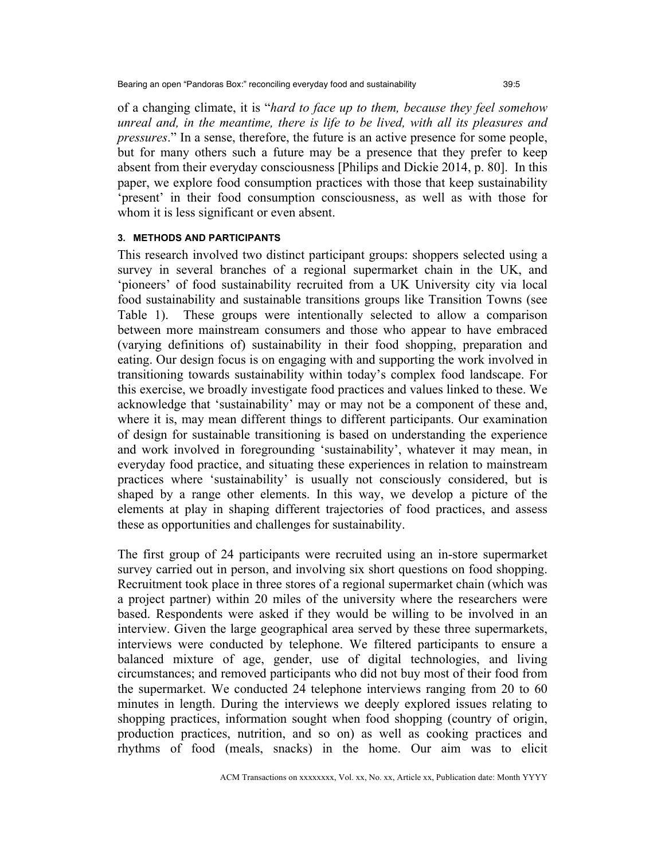of a changing climate, it is "*hard to face up to them, because they feel somehow unreal and, in the meantime, there is life to be lived, with all its pleasures and pressures*." In a sense, therefore, the future is an active presence for some people, but for many others such a future may be a presence that they prefer to keep absent from their everyday consciousness [Philips and Dickie 2014, p. 80]. In this paper, we explore food consumption practices with those that keep sustainability 'present' in their food consumption consciousness, as well as with those for whom it is less significant or even absent.

#### **3. METHODS AND PARTICIPANTS**

This research involved two distinct participant groups: shoppers selected using a survey in several branches of a regional supermarket chain in the UK, and 'pioneers' of food sustainability recruited from a UK University city via local food sustainability and sustainable transitions groups like Transition Towns (see Table 1). These groups were intentionally selected to allow a comparison between more mainstream consumers and those who appear to have embraced (varying definitions of) sustainability in their food shopping, preparation and eating. Our design focus is on engaging with and supporting the work involved in transitioning towards sustainability within today's complex food landscape. For this exercise, we broadly investigate food practices and values linked to these. We acknowledge that 'sustainability' may or may not be a component of these and, where it is, may mean different things to different participants. Our examination of design for sustainable transitioning is based on understanding the experience and work involved in foregrounding 'sustainability', whatever it may mean, in everyday food practice, and situating these experiences in relation to mainstream practices where 'sustainability' is usually not consciously considered, but is shaped by a range other elements. In this way, we develop a picture of the elements at play in shaping different trajectories of food practices, and assess these as opportunities and challenges for sustainability.

The first group of 24 participants were recruited using an in-store supermarket survey carried out in person, and involving six short questions on food shopping. Recruitment took place in three stores of a regional supermarket chain (which was a project partner) within 20 miles of the university where the researchers were based. Respondents were asked if they would be willing to be involved in an interview. Given the large geographical area served by these three supermarkets, interviews were conducted by telephone. We filtered participants to ensure a balanced mixture of age, gender, use of digital technologies, and living circumstances; and removed participants who did not buy most of their food from the supermarket. We conducted 24 telephone interviews ranging from 20 to 60 minutes in length. During the interviews we deeply explored issues relating to shopping practices, information sought when food shopping (country of origin, production practices, nutrition, and so on) as well as cooking practices and rhythms of food (meals, snacks) in the home. Our aim was to elicit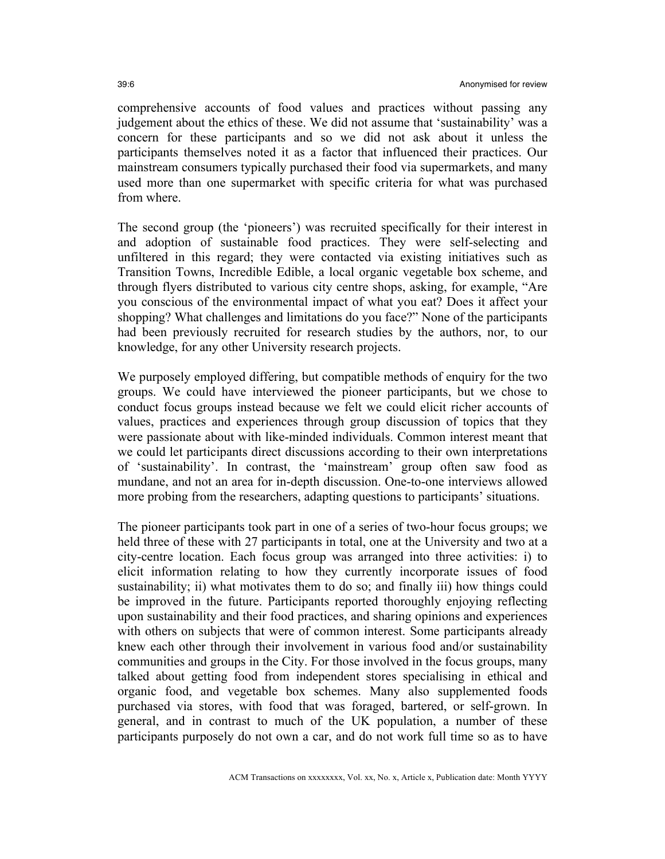comprehensive accounts of food values and practices without passing any judgement about the ethics of these. We did not assume that 'sustainability' was a concern for these participants and so we did not ask about it unless the participants themselves noted it as a factor that influenced their practices. Our mainstream consumers typically purchased their food via supermarkets, and many used more than one supermarket with specific criteria for what was purchased from where.

The second group (the 'pioneers') was recruited specifically for their interest in and adoption of sustainable food practices. They were self-selecting and unfiltered in this regard; they were contacted via existing initiatives such as Transition Towns, Incredible Edible, a local organic vegetable box scheme, and through flyers distributed to various city centre shops, asking, for example, "Are you conscious of the environmental impact of what you eat? Does it affect your shopping? What challenges and limitations do you face?" None of the participants had been previously recruited for research studies by the authors, nor, to our knowledge, for any other University research projects.

We purposely employed differing, but compatible methods of enquiry for the two groups. We could have interviewed the pioneer participants, but we chose to conduct focus groups instead because we felt we could elicit richer accounts of values, practices and experiences through group discussion of topics that they were passionate about with like-minded individuals. Common interest meant that we could let participants direct discussions according to their own interpretations of 'sustainability'. In contrast, the 'mainstream' group often saw food as mundane, and not an area for in-depth discussion. One-to-one interviews allowed more probing from the researchers, adapting questions to participants' situations.

The pioneer participants took part in one of a series of two-hour focus groups; we held three of these with 27 participants in total, one at the University and two at a city-centre location. Each focus group was arranged into three activities: i) to elicit information relating to how they currently incorporate issues of food sustainability; ii) what motivates them to do so; and finally iii) how things could be improved in the future. Participants reported thoroughly enjoying reflecting upon sustainability and their food practices, and sharing opinions and experiences with others on subjects that were of common interest. Some participants already knew each other through their involvement in various food and/or sustainability communities and groups in the City. For those involved in the focus groups, many talked about getting food from independent stores specialising in ethical and organic food, and vegetable box schemes. Many also supplemented foods purchased via stores, with food that was foraged, bartered, or self-grown. In general, and in contrast to much of the UK population, a number of these participants purposely do not own a car, and do not work full time so as to have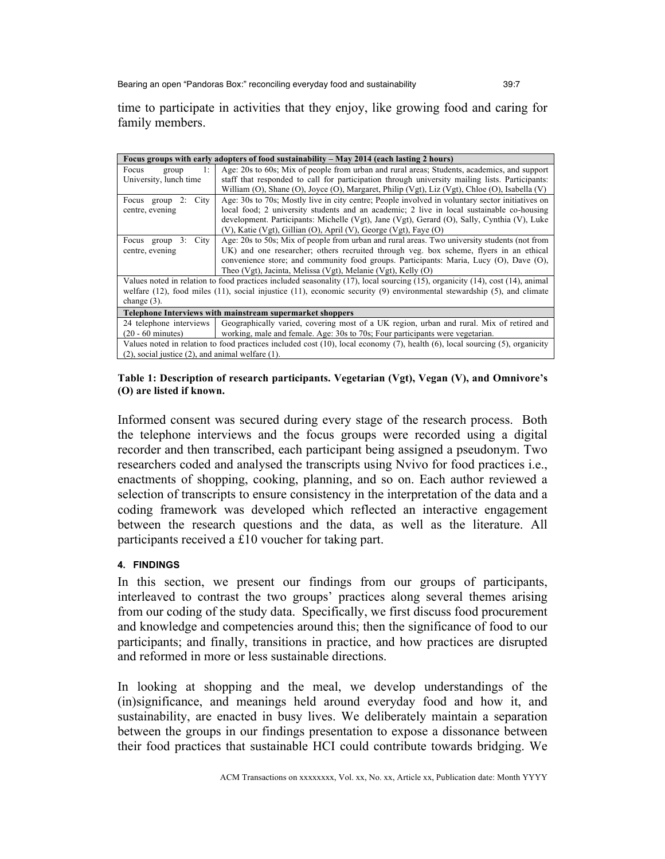time to participate in activities that they enjoy, like growing food and caring for family members.

| Focus groups with early adopters of food sustainability – May 2014 (each lasting 2 hours)                                                |                                                                                                 |
|------------------------------------------------------------------------------------------------------------------------------------------|-------------------------------------------------------------------------------------------------|
| 1:<br>Focus<br>group                                                                                                                     | Age: 20s to 60s; Mix of people from urban and rural areas; Students, academics, and support     |
| University, lunch time                                                                                                                   | staff that responded to call for participation through university mailing lists. Participants:  |
|                                                                                                                                          | William (O), Shane (O), Joyce (O), Margaret, Philip (Vgt), Liz (Vgt), Chloe (O), Isabella (V)   |
| 2:<br>City<br>Focus group                                                                                                                | Age: 30s to 70s; Mostly live in city centre; People involved in voluntary sector initiatives on |
| centre, evening                                                                                                                          | local food; 2 university students and an academic; 2 live in local sustainable co-housing       |
|                                                                                                                                          | development. Participants: Michelle (Vgt), Jane (Vgt), Gerard (O), Sally, Cynthia (V), Luke     |
|                                                                                                                                          | $(V)$ , Katie (Vgt), Gillian (O), April (V), George (Vgt), Faye (O)                             |
| Focus group 3: City                                                                                                                      | Age: 20s to 50s; Mix of people from urban and rural areas. Two university students (not from    |
| centre, evening                                                                                                                          | UK) and one researcher; others recruited through veg. box scheme, flyers in an ethical          |
|                                                                                                                                          | convenience store; and community food groups. Participants: Maria, Lucy (O), Dave (O),          |
|                                                                                                                                          | Theo (Vgt), Jacinta, Melissa (Vgt), Melanie (Vgt), Kelly (O)                                    |
| Values noted in relation to food practices included seasonality (17), local sourcing (15), organicity (14), cost (14), animal            |                                                                                                 |
| welfare $(12)$ , food miles $(11)$ , social injustice $(11)$ , economic security $(9)$ environmental stewardship $(5)$ , and climate     |                                                                                                 |
| change $(3)$ .                                                                                                                           |                                                                                                 |
| Telephone Interviews with mainstream supermarket shoppers                                                                                |                                                                                                 |
| 24 telephone interviews                                                                                                                  | Geographically varied, covering most of a UK region, urban and rural. Mix of retired and        |
| $(20 - 60 \text{ minutes})$                                                                                                              | working, male and female. Age: 30s to 70s; Four participants were vegetarian.                   |
| Values noted in relation to food practices included cost $(10)$ , local economy $(7)$ , health $(6)$ , local sourcing $(5)$ , organicity |                                                                                                 |
| $(2)$ , social justice $(2)$ , and animal welfare $(1)$ .                                                                                |                                                                                                 |

#### **Table 1: Description of research participants. Vegetarian (Vgt), Vegan (V), and Omnivore's (O) are listed if known.**

Informed consent was secured during every stage of the research process. Both the telephone interviews and the focus groups were recorded using a digital recorder and then transcribed, each participant being assigned a pseudonym. Two researchers coded and analysed the transcripts using Nvivo for food practices i.e., enactments of shopping, cooking, planning, and so on. Each author reviewed a selection of transcripts to ensure consistency in the interpretation of the data and a coding framework was developed which reflected an interactive engagement between the research questions and the data, as well as the literature. All participants received a £10 voucher for taking part.

## **4. FINDINGS**

In this section, we present our findings from our groups of participants, interleaved to contrast the two groups' practices along several themes arising from our coding of the study data. Specifically, we first discuss food procurement and knowledge and competencies around this; then the significance of food to our participants; and finally, transitions in practice, and how practices are disrupted and reformed in more or less sustainable directions.

In looking at shopping and the meal, we develop understandings of the (in)significance, and meanings held around everyday food and how it, and sustainability, are enacted in busy lives. We deliberately maintain a separation between the groups in our findings presentation to expose a dissonance between their food practices that sustainable HCI could contribute towards bridging. We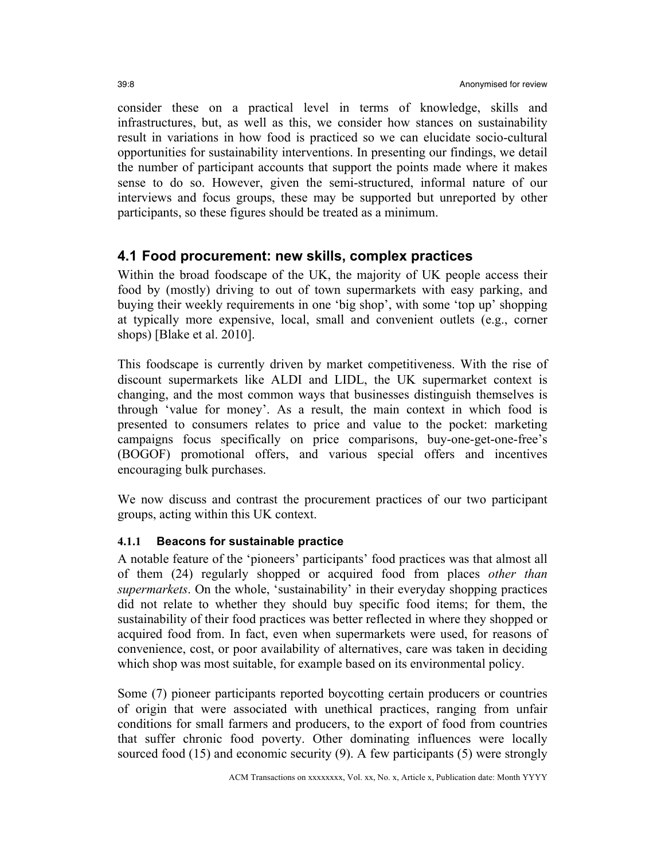consider these on a practical level in terms of knowledge, skills and infrastructures, but, as well as this, we consider how stances on sustainability result in variations in how food is practiced so we can elucidate socio-cultural opportunities for sustainability interventions. In presenting our findings, we detail the number of participant accounts that support the points made where it makes sense to do so. However, given the semi-structured, informal nature of our interviews and focus groups, these may be supported but unreported by other participants, so these figures should be treated as a minimum.

# **4.1 Food procurement: new skills, complex practices**

Within the broad foodscape of the UK, the majority of UK people access their food by (mostly) driving to out of town supermarkets with easy parking, and buying their weekly requirements in one 'big shop', with some 'top up' shopping at typically more expensive, local, small and convenient outlets (e.g., corner shops) [Blake et al. 2010].

This foodscape is currently driven by market competitiveness. With the rise of discount supermarkets like ALDI and LIDL, the UK supermarket context is changing, and the most common ways that businesses distinguish themselves is through 'value for money'. As a result, the main context in which food is presented to consumers relates to price and value to the pocket: marketing campaigns focus specifically on price comparisons, buy-one-get-one-free's (BOGOF) promotional offers, and various special offers and incentives encouraging bulk purchases.

We now discuss and contrast the procurement practices of our two participant groups, acting within this UK context.

## **4.1.1 Beacons for sustainable practice**

A notable feature of the 'pioneers' participants' food practices was that almost all of them (24) regularly shopped or acquired food from places *other than supermarkets*. On the whole, 'sustainability' in their everyday shopping practices did not relate to whether they should buy specific food items; for them, the sustainability of their food practices was better reflected in where they shopped or acquired food from. In fact, even when supermarkets were used, for reasons of convenience, cost, or poor availability of alternatives, care was taken in deciding which shop was most suitable, for example based on its environmental policy.

Some (7) pioneer participants reported boycotting certain producers or countries of origin that were associated with unethical practices, ranging from unfair conditions for small farmers and producers, to the export of food from countries that suffer chronic food poverty. Other dominating influences were locally sourced food (15) and economic security (9). A few participants (5) were strongly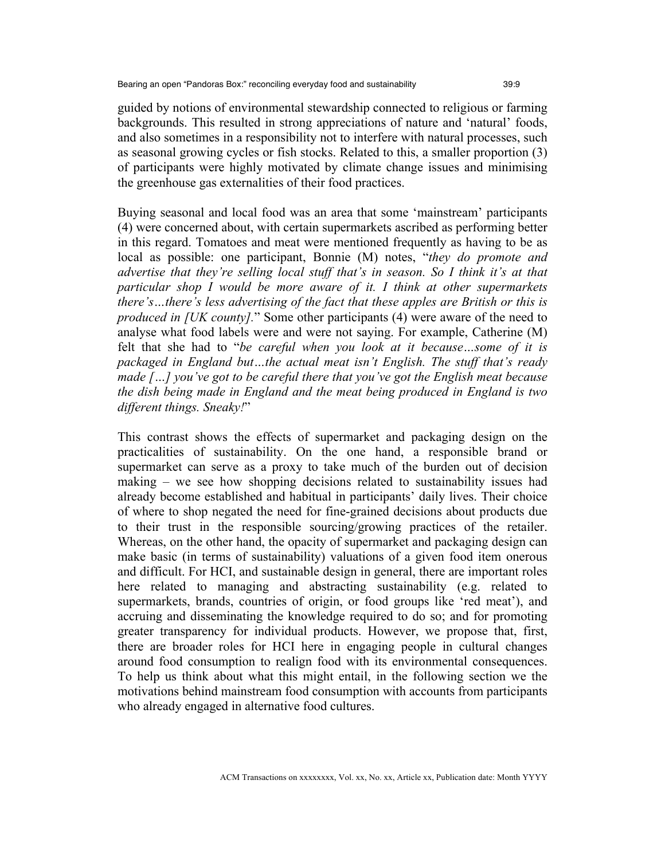guided by notions of environmental stewardship connected to religious or farming backgrounds. This resulted in strong appreciations of nature and 'natural' foods, and also sometimes in a responsibility not to interfere with natural processes, such as seasonal growing cycles or fish stocks. Related to this, a smaller proportion (3) of participants were highly motivated by climate change issues and minimising the greenhouse gas externalities of their food practices.

Buying seasonal and local food was an area that some 'mainstream' participants (4) were concerned about, with certain supermarkets ascribed as performing better in this regard. Tomatoes and meat were mentioned frequently as having to be as local as possible: one participant, Bonnie (M) notes, "*they do promote and advertise that they're selling local stuff that's in season. So I think it's at that particular shop I would be more aware of it. I think at other supermarkets there's…there's less advertising of the fact that these apples are British or this is produced in [UK county].*" Some other participants (4) were aware of the need to analyse what food labels were and were not saying. For example, Catherine (M) felt that she had to "*be careful when you look at it because…some of it is packaged in England but…the actual meat isn't English. The stuff that's ready made […] you've got to be careful there that you've got the English meat because the dish being made in England and the meat being produced in England is two different things. Sneaky!*"

This contrast shows the effects of supermarket and packaging design on the practicalities of sustainability. On the one hand, a responsible brand or supermarket can serve as a proxy to take much of the burden out of decision making – we see how shopping decisions related to sustainability issues had already become established and habitual in participants' daily lives. Their choice of where to shop negated the need for fine-grained decisions about products due to their trust in the responsible sourcing/growing practices of the retailer. Whereas, on the other hand, the opacity of supermarket and packaging design can make basic (in terms of sustainability) valuations of a given food item onerous and difficult. For HCI, and sustainable design in general, there are important roles here related to managing and abstracting sustainability (e.g. related to supermarkets, brands, countries of origin, or food groups like 'red meat'), and accruing and disseminating the knowledge required to do so; and for promoting greater transparency for individual products. However, we propose that, first, there are broader roles for HCI here in engaging people in cultural changes around food consumption to realign food with its environmental consequences. To help us think about what this might entail, in the following section we the motivations behind mainstream food consumption with accounts from participants who already engaged in alternative food cultures.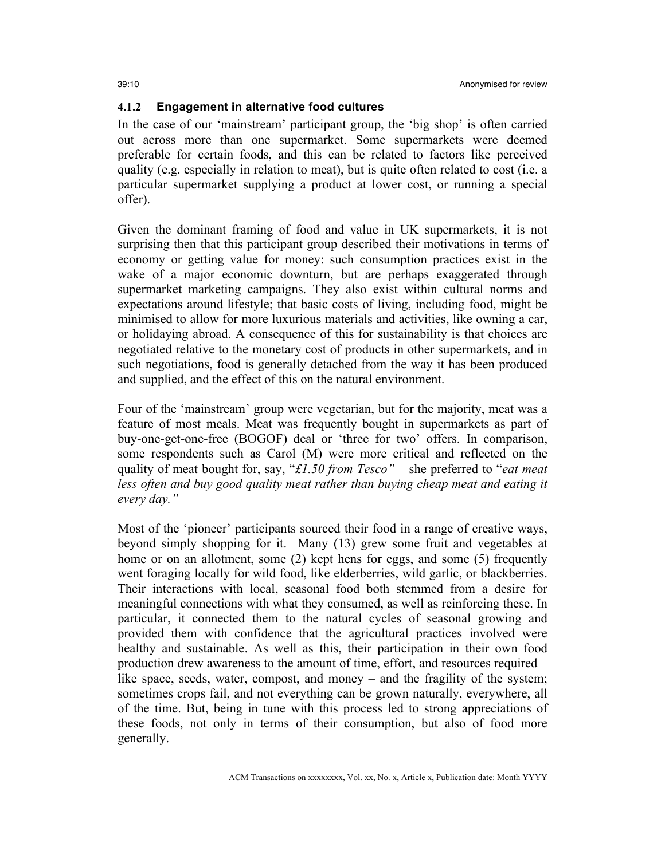## **4.1.2 Engagement in alternative food cultures**

In the case of our 'mainstream' participant group, the 'big shop' is often carried out across more than one supermarket. Some supermarkets were deemed preferable for certain foods, and this can be related to factors like perceived quality (e.g. especially in relation to meat), but is quite often related to cost (i.e. a particular supermarket supplying a product at lower cost, or running a special offer).

Given the dominant framing of food and value in UK supermarkets, it is not surprising then that this participant group described their motivations in terms of economy or getting value for money: such consumption practices exist in the wake of a major economic downturn, but are perhaps exaggerated through supermarket marketing campaigns. They also exist within cultural norms and expectations around lifestyle; that basic costs of living, including food, might be minimised to allow for more luxurious materials and activities, like owning a car, or holidaying abroad. A consequence of this for sustainability is that choices are negotiated relative to the monetary cost of products in other supermarkets, and in such negotiations, food is generally detached from the way it has been produced and supplied, and the effect of this on the natural environment.

Four of the 'mainstream' group were vegetarian, but for the majority, meat was a feature of most meals. Meat was frequently bought in supermarkets as part of buy-one-get-one-free (BOGOF) deal or 'three for two' offers. In comparison, some respondents such as Carol (M) were more critical and reflected on the quality of meat bought for, say, "*£1.50 from Tesco"* – she preferred to "*eat meat*  less often and buy good quality meat rather than buying cheap meat and eating it *every day."*

Most of the 'pioneer' participants sourced their food in a range of creative ways, beyond simply shopping for it. Many (13) grew some fruit and vegetables at home or on an allotment, some (2) kept hens for eggs, and some (5) frequently went foraging locally for wild food, like elderberries, wild garlic, or blackberries. Their interactions with local, seasonal food both stemmed from a desire for meaningful connections with what they consumed, as well as reinforcing these. In particular, it connected them to the natural cycles of seasonal growing and provided them with confidence that the agricultural practices involved were healthy and sustainable. As well as this, their participation in their own food production drew awareness to the amount of time, effort, and resources required – like space, seeds, water, compost, and money – and the fragility of the system; sometimes crops fail, and not everything can be grown naturally, everywhere, all of the time. But, being in tune with this process led to strong appreciations of these foods, not only in terms of their consumption, but also of food more generally.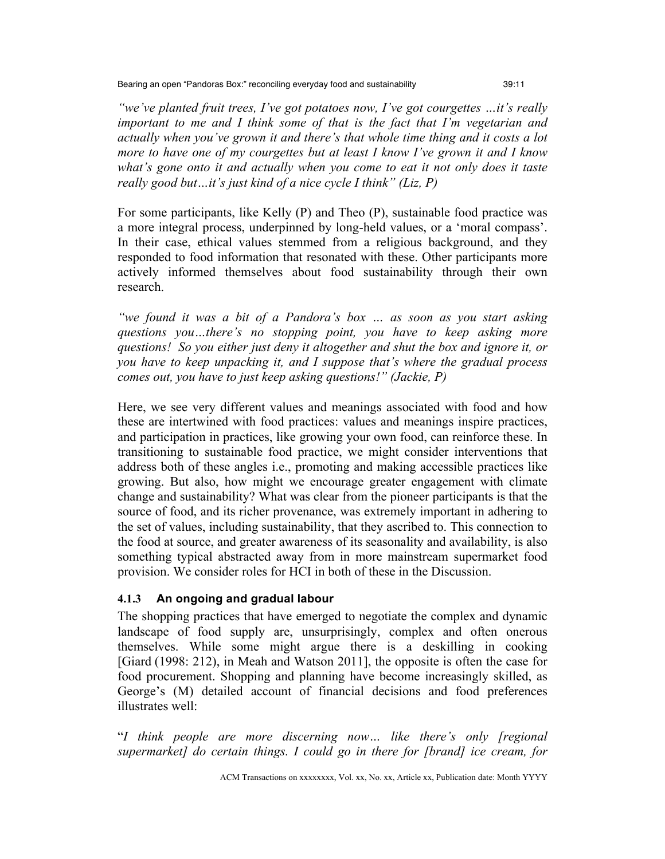Bearing an open "Pandoras Box:" reconciling everyday food and sustainability 39:11

*"we've planted fruit trees, I've got potatoes now, I've got courgettes …it's really important to me and I think some of that is the fact that I'm vegetarian and actually when you've grown it and there's that whole time thing and it costs a lot more to have one of my courgettes but at least I know I've grown it and I know what's gone onto it and actually when you come to eat it not only does it taste really good but…it's just kind of a nice cycle I think" (Liz, P)*

For some participants, like Kelly (P) and Theo (P), sustainable food practice was a more integral process, underpinned by long-held values, or a 'moral compass'. In their case, ethical values stemmed from a religious background, and they responded to food information that resonated with these. Other participants more actively informed themselves about food sustainability through their own research.

*"we found it was a bit of a Pandora's box … as soon as you start asking questions you…there's no stopping point, you have to keep asking more questions! So you either just deny it altogether and shut the box and ignore it, or you have to keep unpacking it, and I suppose that's where the gradual process comes out, you have to just keep asking questions!" (Jackie, P)*

Here, we see very different values and meanings associated with food and how these are intertwined with food practices: values and meanings inspire practices, and participation in practices, like growing your own food, can reinforce these. In transitioning to sustainable food practice, we might consider interventions that address both of these angles i.e., promoting and making accessible practices like growing. But also, how might we encourage greater engagement with climate change and sustainability? What was clear from the pioneer participants is that the source of food, and its richer provenance, was extremely important in adhering to the set of values, including sustainability, that they ascribed to. This connection to the food at source, and greater awareness of its seasonality and availability, is also something typical abstracted away from in more mainstream supermarket food provision. We consider roles for HCI in both of these in the Discussion.

## **4.1.3 An ongoing and gradual labour**

The shopping practices that have emerged to negotiate the complex and dynamic landscape of food supply are, unsurprisingly, complex and often onerous themselves. While some might argue there is a deskilling in cooking [Giard (1998: 212), in Meah and Watson 2011], the opposite is often the case for food procurement. Shopping and planning have become increasingly skilled, as George's (M) detailed account of financial decisions and food preferences illustrates well:

"*I think people are more discerning now… like there's only [regional supermarket] do certain things. I could go in there for [brand] ice cream, for*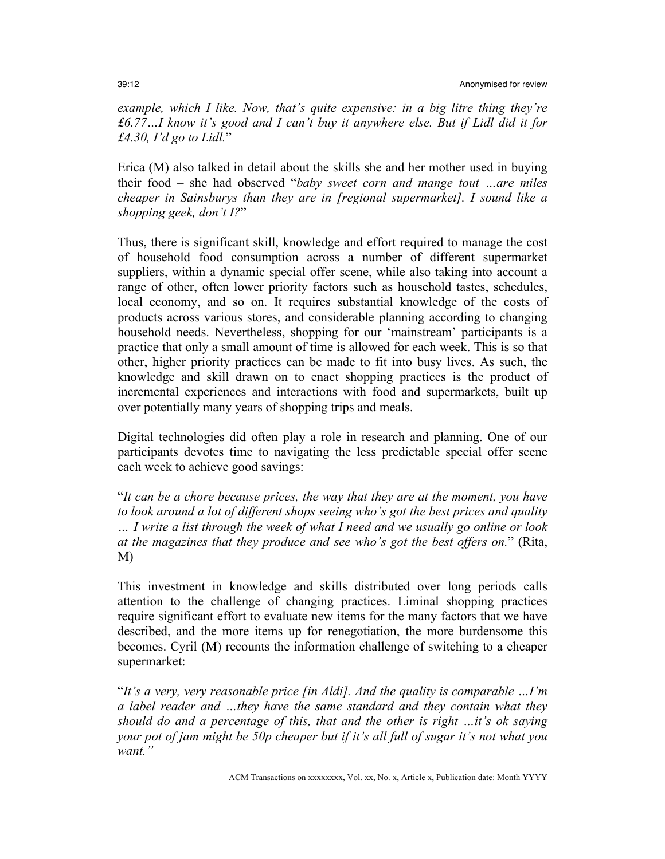*example, which I like. Now, that's quite expensive: in a big litre thing they're £6.77…I know it's good and I can't buy it anywhere else. But if Lidl did it for £4.30, I'd go to Lidl.*"

Erica (M) also talked in detail about the skills she and her mother used in buying their food – she had observed "*baby sweet corn and mange tout …are miles cheaper in Sainsburys than they are in [regional supermarket]. I sound like a shopping geek, don't I?*"

Thus, there is significant skill, knowledge and effort required to manage the cost of household food consumption across a number of different supermarket suppliers, within a dynamic special offer scene, while also taking into account a range of other, often lower priority factors such as household tastes, schedules, local economy, and so on. It requires substantial knowledge of the costs of products across various stores, and considerable planning according to changing household needs. Nevertheless, shopping for our 'mainstream' participants is a practice that only a small amount of time is allowed for each week. This is so that other, higher priority practices can be made to fit into busy lives. As such, the knowledge and skill drawn on to enact shopping practices is the product of incremental experiences and interactions with food and supermarkets, built up over potentially many years of shopping trips and meals.

Digital technologies did often play a role in research and planning. One of our participants devotes time to navigating the less predictable special offer scene each week to achieve good savings:

"*It can be a chore because prices, the way that they are at the moment, you have to look around a lot of different shops seeing who's got the best prices and quality … I write a list through the week of what I need and we usually go online or look at the magazines that they produce and see who's got the best offers on.*" (Rita, M)

This investment in knowledge and skills distributed over long periods calls attention to the challenge of changing practices. Liminal shopping practices require significant effort to evaluate new items for the many factors that we have described, and the more items up for renegotiation, the more burdensome this becomes. Cyril (M) recounts the information challenge of switching to a cheaper supermarket:

"*It's a very, very reasonable price [in Aldi]. And the quality is comparable …I'm a label reader and …they have the same standard and they contain what they should do and a percentage of this, that and the other is right …it's ok saying your pot of jam might be 50p cheaper but if it's all full of sugar it's not what you want."*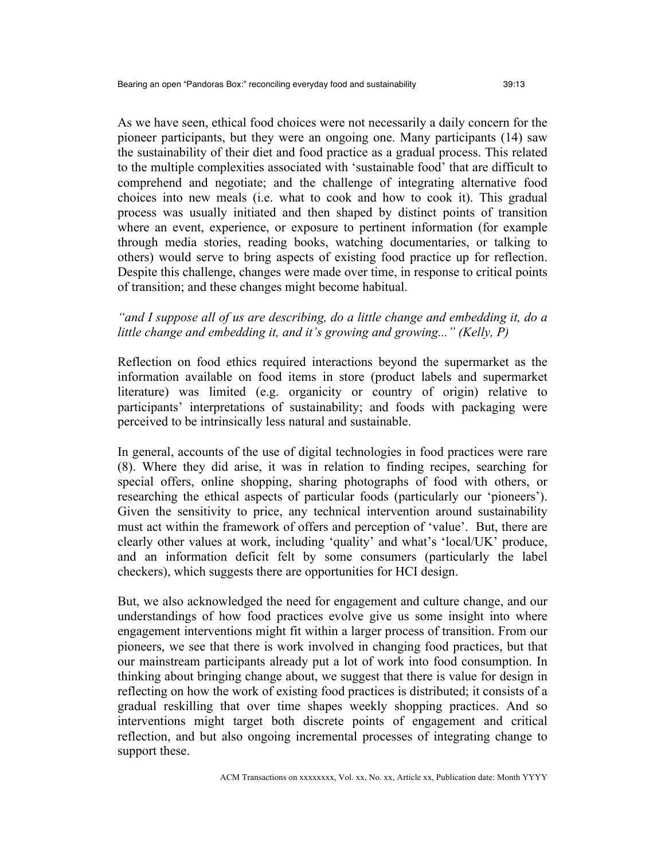As we have seen, ethical food choices were not necessarily a daily concern for the pioneer participants, but they were an ongoing one. Many participants (14) saw the sustainability of their diet and food practice as a gradual process. This related to the multiple complexities associated with 'sustainable food' that are difficult to comprehend and negotiate; and the challenge of integrating alternative food choices into new meals (i.e. what to cook and how to cook it). This gradual process was usually initiated and then shaped by distinct points of transition where an event, experience, or exposure to pertinent information (for example through media stories, reading books, watching documentaries, or talking to others) would serve to bring aspects of existing food practice up for reflection. Despite this challenge, changes were made over time, in response to critical points of transition; and these changes might become habitual.

## *"and I suppose all of us are describing, do a little change and embedding it, do a little change and embedding it, and it's growing and growing..." (Kelly, P)*

Reflection on food ethics required interactions beyond the supermarket as the information available on food items in store (product labels and supermarket literature) was limited (e.g. organicity or country of origin) relative to participants' interpretations of sustainability; and foods with packaging were perceived to be intrinsically less natural and sustainable.

In general, accounts of the use of digital technologies in food practices were rare (8). Where they did arise, it was in relation to finding recipes, searching for special offers, online shopping, sharing photographs of food with others, or researching the ethical aspects of particular foods (particularly our 'pioneers'). Given the sensitivity to price, any technical intervention around sustainability must act within the framework of offers and perception of 'value'. But, there are clearly other values at work, including 'quality' and what's 'local/UK' produce, and an information deficit felt by some consumers (particularly the label checkers), which suggests there are opportunities for HCI design.

But, we also acknowledged the need for engagement and culture change, and our understandings of how food practices evolve give us some insight into where engagement interventions might fit within a larger process of transition. From our pioneers, we see that there is work involved in changing food practices, but that our mainstream participants already put a lot of work into food consumption. In thinking about bringing change about, we suggest that there is value for design in reflecting on how the work of existing food practices is distributed; it consists of a gradual reskilling that over time shapes weekly shopping practices. And so interventions might target both discrete points of engagement and critical reflection, and but also ongoing incremental processes of integrating change to support these.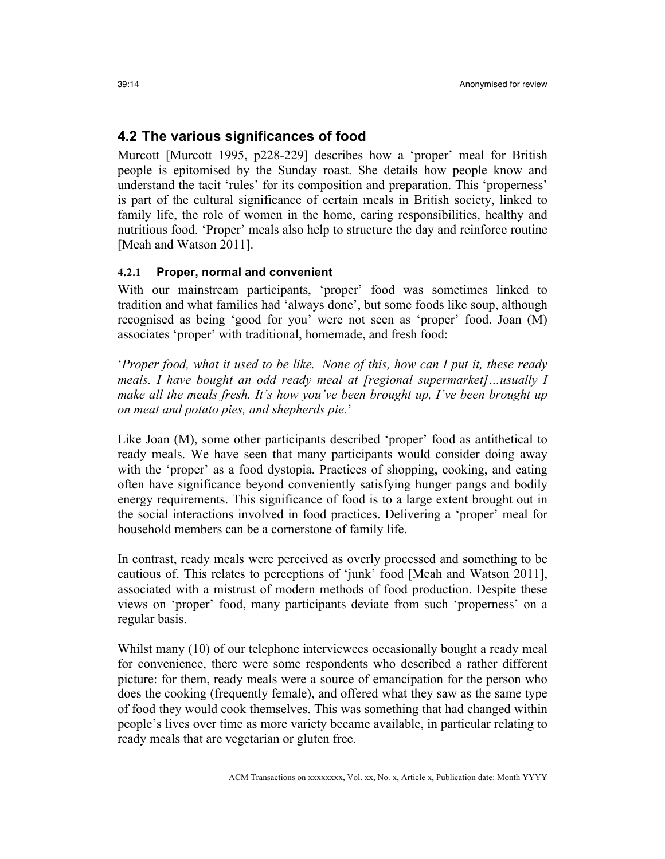# **4.2 The various significances of food**

Murcott [Murcott 1995, p228-229] describes how a 'proper' meal for British people is epitomised by the Sunday roast. She details how people know and understand the tacit 'rules' for its composition and preparation. This 'properness' is part of the cultural significance of certain meals in British society, linked to family life, the role of women in the home, caring responsibilities, healthy and nutritious food. 'Proper' meals also help to structure the day and reinforce routine [Meah and Watson 2011].

## **4.2.1 Proper, normal and convenient**

With our mainstream participants, 'proper' food was sometimes linked to tradition and what families had 'always done', but some foods like soup, although recognised as being 'good for you' were not seen as 'proper' food. Joan (M) associates 'proper' with traditional, homemade, and fresh food:

'*Proper food, what it used to be like. None of this, how can I put it, these ready meals. I have bought an odd ready meal at [regional supermarket]…usually I*  make all the meals fresh. It's how you've been brought up, I've been brought up *on meat and potato pies, and shepherds pie.*'

Like Joan (M), some other participants described 'proper' food as antithetical to ready meals. We have seen that many participants would consider doing away with the 'proper' as a food dystopia. Practices of shopping, cooking, and eating often have significance beyond conveniently satisfying hunger pangs and bodily energy requirements. This significance of food is to a large extent brought out in the social interactions involved in food practices. Delivering a 'proper' meal for household members can be a cornerstone of family life.

In contrast, ready meals were perceived as overly processed and something to be cautious of. This relates to perceptions of 'junk' food [Meah and Watson 2011], associated with a mistrust of modern methods of food production. Despite these views on 'proper' food, many participants deviate from such 'properness' on a regular basis.

Whilst many (10) of our telephone interviewees occasionally bought a ready meal for convenience, there were some respondents who described a rather different picture: for them, ready meals were a source of emancipation for the person who does the cooking (frequently female), and offered what they saw as the same type of food they would cook themselves. This was something that had changed within people's lives over time as more variety became available, in particular relating to ready meals that are vegetarian or gluten free.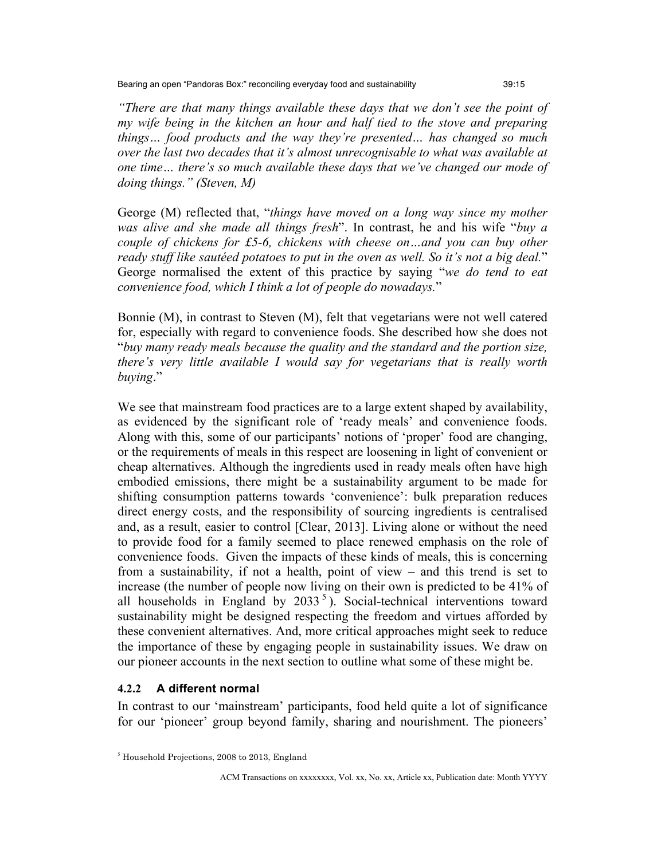Bearing an open "Pandoras Box:" reconciling everyday food and sustainability 39:15

*"There are that many things available these days that we don't see the point of my wife being in the kitchen an hour and half tied to the stove and preparing things… food products and the way they're presented… has changed so much over the last two decades that it's almost unrecognisable to what was available at one time… there's so much available these days that we've changed our mode of doing things." (Steven, M)*

George (M) reflected that, "*things have moved on a long way since my mother was alive and she made all things fresh*". In contrast, he and his wife "*buy a couple of chickens for £5-6, chickens with cheese on…and you can buy other ready stuff like sautéed potatoes to put in the oven as well. So it's not a big deal.*" George normalised the extent of this practice by saying "*we do tend to eat convenience food, which I think a lot of people do nowadays.*"

Bonnie (M), in contrast to Steven (M), felt that vegetarians were not well catered for, especially with regard to convenience foods. She described how she does not "*buy many ready meals because the quality and the standard and the portion size, there's very little available I would say for vegetarians that is really worth buying*."

We see that mainstream food practices are to a large extent shaped by availability, as evidenced by the significant role of 'ready meals' and convenience foods. Along with this, some of our participants' notions of 'proper' food are changing, or the requirements of meals in this respect are loosening in light of convenient or cheap alternatives. Although the ingredients used in ready meals often have high embodied emissions, there might be a sustainability argument to be made for shifting consumption patterns towards 'convenience': bulk preparation reduces direct energy costs, and the responsibility of sourcing ingredients is centralised and, as a result, easier to control [Clear, 2013]. Living alone or without the need to provide food for a family seemed to place renewed emphasis on the role of convenience foods. Given the impacts of these kinds of meals, this is concerning from a sustainability, if not a health, point of view – and this trend is set to increase (the number of people now living on their own is predicted to be 41% of all households in England by  $2033^5$ ). Social-technical interventions toward sustainability might be designed respecting the freedom and virtues afforded by these convenient alternatives. And, more critical approaches might seek to reduce the importance of these by engaging people in sustainability issues. We draw on our pioneer accounts in the next section to outline what some of these might be.

## **4.2.2 A different normal**

In contrast to our 'mainstream' participants, food held quite a lot of significance for our 'pioneer' group beyond family, sharing and nourishment. The pioneers'

<sup>5</sup> Household Projections, 2008 to 2013, England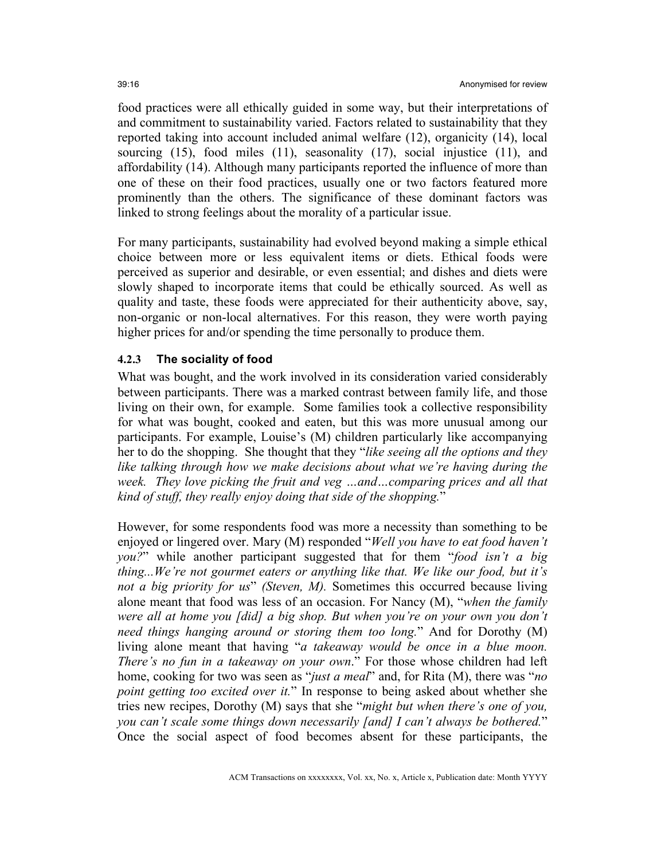food practices were all ethically guided in some way, but their interpretations of and commitment to sustainability varied. Factors related to sustainability that they reported taking into account included animal welfare (12), organicity (14), local sourcing  $(15)$ , food miles  $(11)$ , seasonality  $(17)$ , social injustice  $(11)$ , and affordability (14). Although many participants reported the influence of more than one of these on their food practices, usually one or two factors featured more prominently than the others. The significance of these dominant factors was linked to strong feelings about the morality of a particular issue.

For many participants, sustainability had evolved beyond making a simple ethical choice between more or less equivalent items or diets. Ethical foods were perceived as superior and desirable, or even essential; and dishes and diets were slowly shaped to incorporate items that could be ethically sourced. As well as quality and taste, these foods were appreciated for their authenticity above, say, non-organic or non-local alternatives. For this reason, they were worth paying higher prices for and/or spending the time personally to produce them.

## **4.2.3 The sociality of food**

What was bought, and the work involved in its consideration varied considerably between participants. There was a marked contrast between family life, and those living on their own, for example. Some families took a collective responsibility for what was bought, cooked and eaten, but this was more unusual among our participants. For example, Louise's (M) children particularly like accompanying her to do the shopping. She thought that they "*like seeing all the options and they like talking through how we make decisions about what we're having during the week. They love picking the fruit and veg …and…comparing prices and all that kind of stuff, they really enjoy doing that side of the shopping.*"

However, for some respondents food was more a necessity than something to be enjoyed or lingered over. Mary (M) responded "*Well you have to eat food haven't you?*" while another participant suggested that for them "*food isn't a big thing...We're not gourmet eaters or anything like that. We like our food, but it's not a big priority for us*" *(Steven, M).* Sometimes this occurred because living alone meant that food was less of an occasion. For Nancy (M), "*when the family were all at home you [did] a big shop. But when you're on your own you don't need things hanging around or storing them too long.*" And for Dorothy (M) living alone meant that having "*a takeaway would be once in a blue moon. There's no fun in a takeaway on your own*." For those whose children had left home, cooking for two was seen as "*just a meal*" and, for Rita (M), there was "*no point getting too excited over it.*" In response to being asked about whether she tries new recipes, Dorothy (M) says that she "*might but when there's one of you, you can't scale some things down necessarily [and] I can't always be bothered.*" Once the social aspect of food becomes absent for these participants, the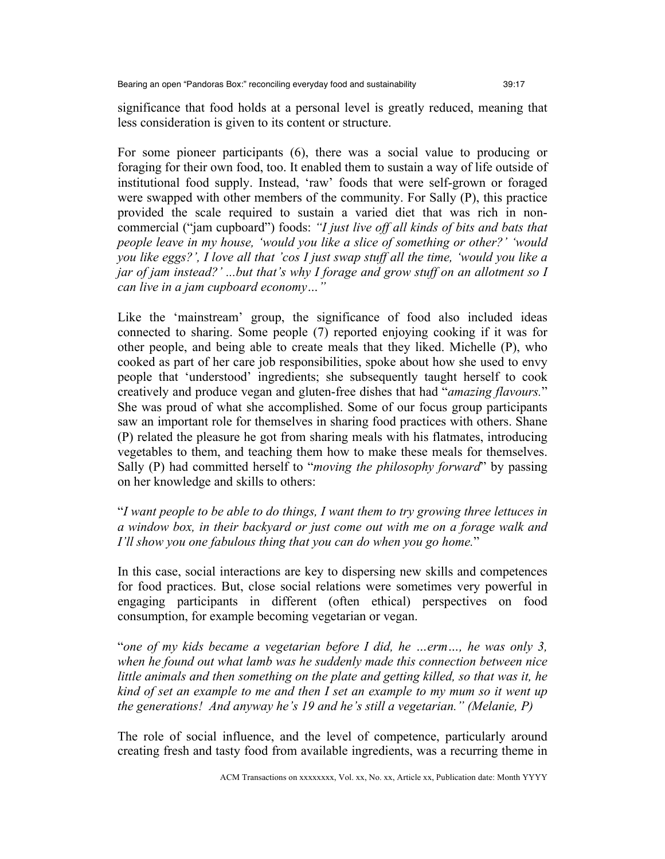Bearing an open "Pandoras Box:" reconciling everyday food and sustainability 39:17

significance that food holds at a personal level is greatly reduced, meaning that less consideration is given to its content or structure.

For some pioneer participants (6), there was a social value to producing or foraging for their own food, too. It enabled them to sustain a way of life outside of institutional food supply. Instead, 'raw' foods that were self-grown or foraged were swapped with other members of the community. For Sally (P), this practice provided the scale required to sustain a varied diet that was rich in noncommercial ("jam cupboard") foods: *"I just live off all kinds of bits and bats that people leave in my house, 'would you like a slice of something or other?' 'would you like eggs?', I love all that 'cos I just swap stuff all the time, 'would you like a jar of jam instead?' ...but that's why I forage and grow stuff on an allotment so I can live in a jam cupboard economy…"* 

Like the 'mainstream' group, the significance of food also included ideas connected to sharing. Some people (7) reported enjoying cooking if it was for other people, and being able to create meals that they liked. Michelle (P), who cooked as part of her care job responsibilities, spoke about how she used to envy people that 'understood' ingredients; she subsequently taught herself to cook creatively and produce vegan and gluten-free dishes that had "*amazing flavours.*" She was proud of what she accomplished. Some of our focus group participants saw an important role for themselves in sharing food practices with others. Shane (P) related the pleasure he got from sharing meals with his flatmates, introducing vegetables to them, and teaching them how to make these meals for themselves. Sally (P) had committed herself to "*moving the philosophy forward*" by passing on her knowledge and skills to others:

"*I want people to be able to do things, I want them to try growing three lettuces in a window box, in their backyard or just come out with me on a forage walk and I'll show you one fabulous thing that you can do when you go home.*"

In this case, social interactions are key to dispersing new skills and competences for food practices. But, close social relations were sometimes very powerful in engaging participants in different (often ethical) perspectives on food consumption, for example becoming vegetarian or vegan.

"*one of my kids became a vegetarian before I did, he …erm…, he was only 3, when he found out what lamb was he suddenly made this connection between nice little animals and then something on the plate and getting killed, so that was it, he kind of set an example to me and then I set an example to my mum so it went up the generations! And anyway he's 19 and he's still a vegetarian." (Melanie, P)*

The role of social influence, and the level of competence, particularly around creating fresh and tasty food from available ingredients, was a recurring theme in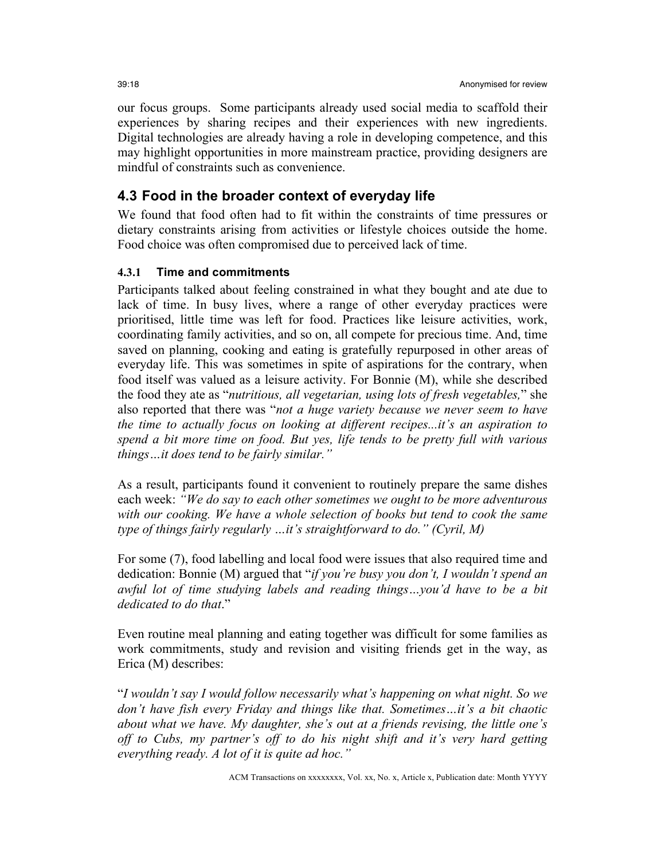our focus groups. Some participants already used social media to scaffold their experiences by sharing recipes and their experiences with new ingredients. Digital technologies are already having a role in developing competence, and this may highlight opportunities in more mainstream practice, providing designers are mindful of constraints such as convenience.

# **4.3 Food in the broader context of everyday life**

We found that food often had to fit within the constraints of time pressures or dietary constraints arising from activities or lifestyle choices outside the home. Food choice was often compromised due to perceived lack of time.

## **4.3.1 Time and commitments**

Participants talked about feeling constrained in what they bought and ate due to lack of time. In busy lives, where a range of other everyday practices were prioritised, little time was left for food. Practices like leisure activities, work, coordinating family activities, and so on, all compete for precious time. And, time saved on planning, cooking and eating is gratefully repurposed in other areas of everyday life. This was sometimes in spite of aspirations for the contrary, when food itself was valued as a leisure activity. For Bonnie (M), while she described the food they ate as "*nutritious, all vegetarian, using lots of fresh vegetables,*" she also reported that there was "*not a huge variety because we never seem to have the time to actually focus on looking at different recipes...it's an aspiration to spend a bit more time on food. But yes, life tends to be pretty full with various things…it does tend to be fairly similar."*

As a result, participants found it convenient to routinely prepare the same dishes each week: *"We do say to each other sometimes we ought to be more adventurous with our cooking. We have a whole selection of books but tend to cook the same type of things fairly regularly …it's straightforward to do." (Cyril, M)*

For some (7), food labelling and local food were issues that also required time and dedication: Bonnie (M) argued that "*if you're busy you don't, I wouldn't spend an awful lot of time studying labels and reading things…you'd have to be a bit dedicated to do that*."

Even routine meal planning and eating together was difficult for some families as work commitments, study and revision and visiting friends get in the way, as Erica (M) describes:

"*I wouldn't say I would follow necessarily what's happening on what night. So we don't have fish every Friday and things like that. Sometimes…it's a bit chaotic about what we have. My daughter, she's out at a friends revising, the little one's off to Cubs, my partner's off to do his night shift and it's very hard getting everything ready. A lot of it is quite ad hoc."*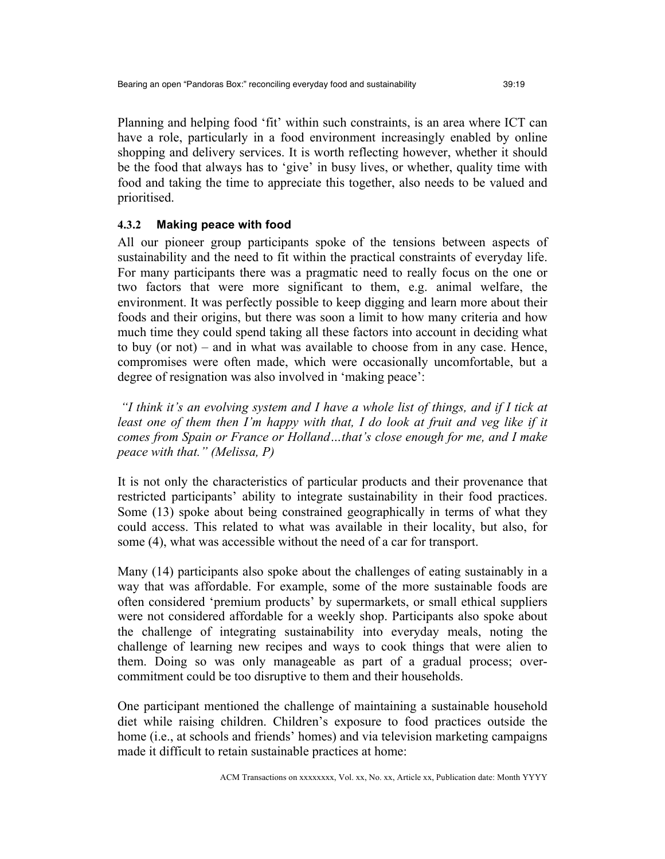Planning and helping food 'fit' within such constraints, is an area where ICT can have a role, particularly in a food environment increasingly enabled by online shopping and delivery services. It is worth reflecting however, whether it should be the food that always has to 'give' in busy lives, or whether, quality time with food and taking the time to appreciate this together, also needs to be valued and prioritised.

## **4.3.2 Making peace with food**

All our pioneer group participants spoke of the tensions between aspects of sustainability and the need to fit within the practical constraints of everyday life. For many participants there was a pragmatic need to really focus on the one or two factors that were more significant to them, e.g. animal welfare, the environment. It was perfectly possible to keep digging and learn more about their foods and their origins, but there was soon a limit to how many criteria and how much time they could spend taking all these factors into account in deciding what to buy (or not) – and in what was available to choose from in any case. Hence, compromises were often made, which were occasionally uncomfortable, but a degree of resignation was also involved in 'making peace':

*"I think it's an evolving system and I have a whole list of things, and if I tick at least one of them then I'm happy with that, I do look at fruit and veg like if it comes from Spain or France or Holland…that's close enough for me, and I make peace with that." (Melissa, P)*

It is not only the characteristics of particular products and their provenance that restricted participants' ability to integrate sustainability in their food practices. Some (13) spoke about being constrained geographically in terms of what they could access. This related to what was available in their locality, but also, for some (4), what was accessible without the need of a car for transport.

Many (14) participants also spoke about the challenges of eating sustainably in a way that was affordable. For example, some of the more sustainable foods are often considered 'premium products' by supermarkets, or small ethical suppliers were not considered affordable for a weekly shop. Participants also spoke about the challenge of integrating sustainability into everyday meals, noting the challenge of learning new recipes and ways to cook things that were alien to them. Doing so was only manageable as part of a gradual process; overcommitment could be too disruptive to them and their households.

One participant mentioned the challenge of maintaining a sustainable household diet while raising children. Children's exposure to food practices outside the home (*i.e.*, at schools and friends' homes) and via television marketing campaigns made it difficult to retain sustainable practices at home: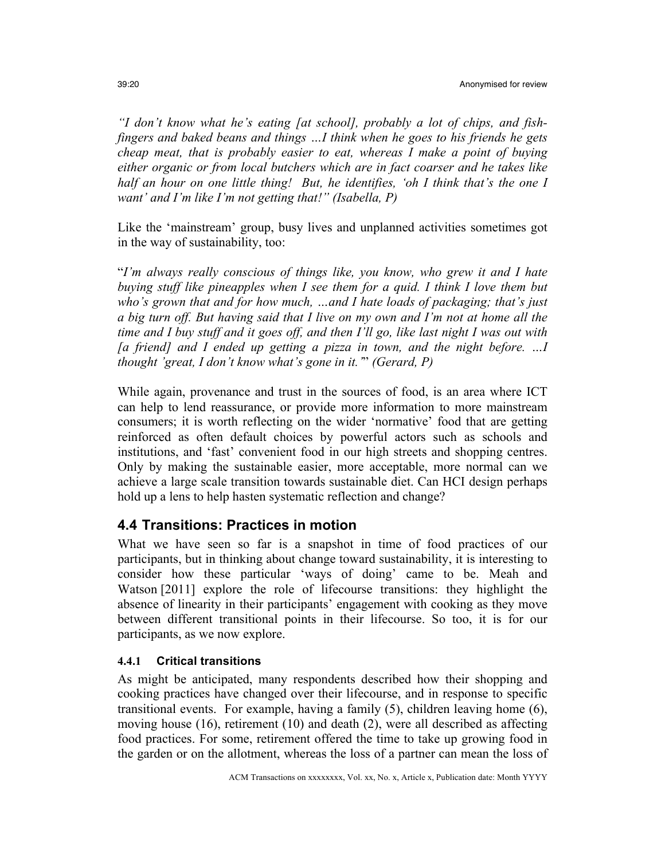*"I don't know what he's eating [at school], probably a lot of chips, and fishfingers and baked beans and things …I think when he goes to his friends he gets cheap meat, that is probably easier to eat, whereas I make a point of buying either organic or from local butchers which are in fact coarser and he takes like half an hour on one little thing! But, he identifies, 'oh I think that's the one I want' and I'm like I'm not getting that!" (Isabella, P)*

Like the 'mainstream' group, busy lives and unplanned activities sometimes got in the way of sustainability, too:

"*I'm always really conscious of things like, you know, who grew it and I hate buying stuff like pineapples when I see them for a quid. I think I love them but who's grown that and for how much, …and I hate loads of packaging; that's just a big turn off. But having said that I live on my own and I'm not at home all the time and I buy stuff and it goes off, and then I'll go, like last night I was out with [a friend] and I ended up getting a pizza in town, and the night before. …I thought 'great, I don't know what's gone in it.'*" *(Gerard, P)*

While again, provenance and trust in the sources of food, is an area where ICT can help to lend reassurance, or provide more information to more mainstream consumers; it is worth reflecting on the wider 'normative' food that are getting reinforced as often default choices by powerful actors such as schools and institutions, and 'fast' convenient food in our high streets and shopping centres. Only by making the sustainable easier, more acceptable, more normal can we achieve a large scale transition towards sustainable diet. Can HCI design perhaps hold up a lens to help hasten systematic reflection and change?

# **4.4 Transitions: Practices in motion**

What we have seen so far is a snapshot in time of food practices of our participants, but in thinking about change toward sustainability, it is interesting to consider how these particular 'ways of doing' came to be. Meah and Watson [2011] explore the role of lifecourse transitions: they highlight the absence of linearity in their participants' engagement with cooking as they move between different transitional points in their lifecourse. So too, it is for our participants, as we now explore.

## **4.4.1 Critical transitions**

As might be anticipated, many respondents described how their shopping and cooking practices have changed over their lifecourse, and in response to specific transitional events. For example, having a family (5), children leaving home (6), moving house (16), retirement (10) and death (2), were all described as affecting food practices. For some, retirement offered the time to take up growing food in the garden or on the allotment, whereas the loss of a partner can mean the loss of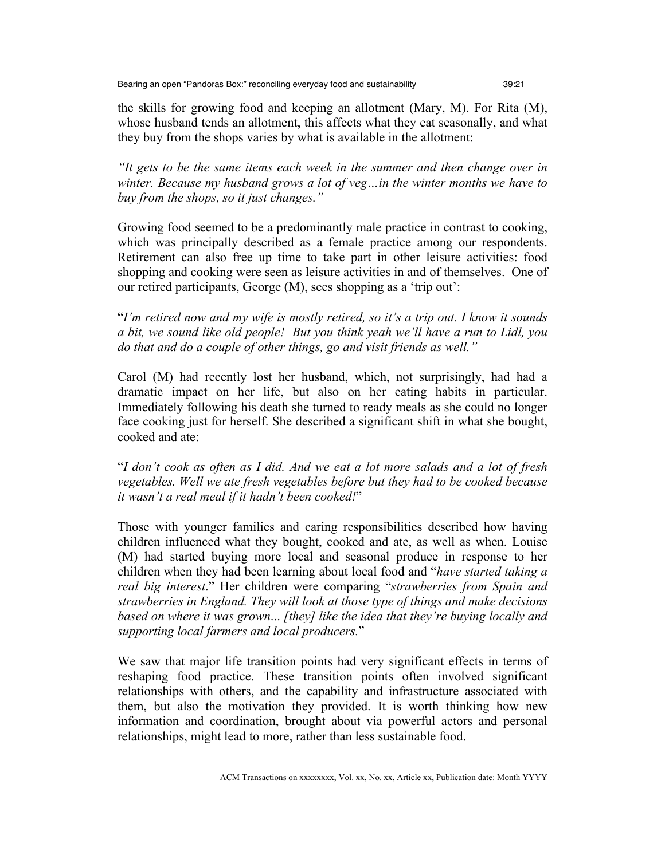the skills for growing food and keeping an allotment (Mary, M). For Rita (M), whose husband tends an allotment, this affects what they eat seasonally, and what they buy from the shops varies by what is available in the allotment:

*"It gets to be the same items each week in the summer and then change over in winter. Because my husband grows a lot of veg…in the winter months we have to buy from the shops, so it just changes."* 

Growing food seemed to be a predominantly male practice in contrast to cooking, which was principally described as a female practice among our respondents. Retirement can also free up time to take part in other leisure activities: food shopping and cooking were seen as leisure activities in and of themselves. One of our retired participants, George (M), sees shopping as a 'trip out':

"*I'm retired now and my wife is mostly retired, so it's a trip out. I know it sounds a bit, we sound like old people! But you think yeah we'll have a run to Lidl, you do that and do a couple of other things, go and visit friends as well."*

Carol (M) had recently lost her husband, which, not surprisingly, had had a dramatic impact on her life, but also on her eating habits in particular. Immediately following his death she turned to ready meals as she could no longer face cooking just for herself. She described a significant shift in what she bought, cooked and ate:

"*I don't cook as often as I did. And we eat a lot more salads and a lot of fresh vegetables. Well we ate fresh vegetables before but they had to be cooked because it wasn't a real meal if it hadn't been cooked!*"

Those with younger families and caring responsibilities described how having children influenced what they bought, cooked and ate, as well as when. Louise (M) had started buying more local and seasonal produce in response to her children when they had been learning about local food and "*have started taking a real big interest*." Her children were comparing "*strawberries from Spain and strawberries in England. They will look at those type of things and make decisions based on where it was grown*... *[they] like the idea that they're buying locally and supporting local farmers and local producers.*"

We saw that major life transition points had very significant effects in terms of reshaping food practice. These transition points often involved significant relationships with others, and the capability and infrastructure associated with them, but also the motivation they provided. It is worth thinking how new information and coordination, brought about via powerful actors and personal relationships, might lead to more, rather than less sustainable food.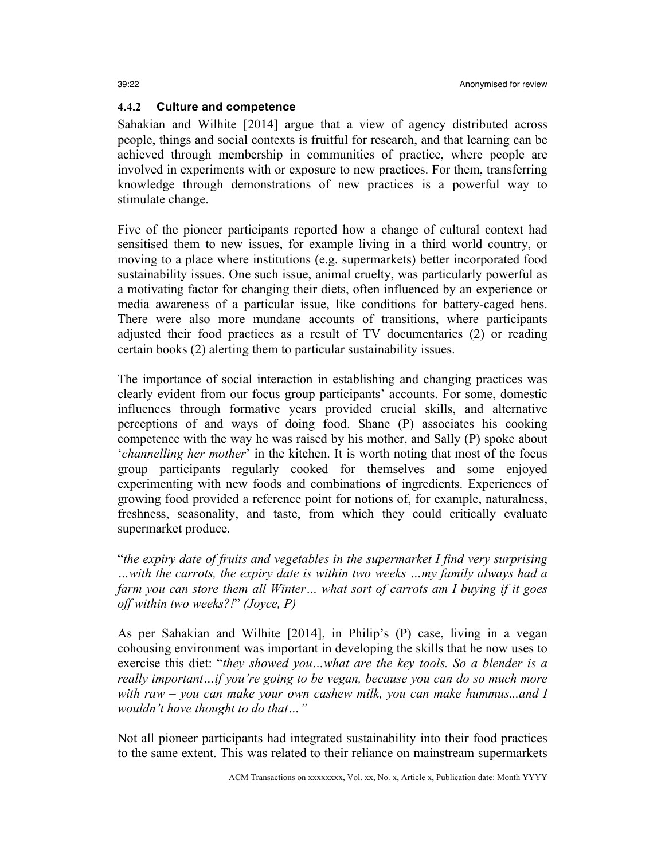## **4.4.2 Culture and competence**

Sahakian and Wilhite [2014] argue that a view of agency distributed across people, things and social contexts is fruitful for research, and that learning can be achieved through membership in communities of practice, where people are involved in experiments with or exposure to new practices. For them, transferring knowledge through demonstrations of new practices is a powerful way to stimulate change.

Five of the pioneer participants reported how a change of cultural context had sensitised them to new issues, for example living in a third world country, or moving to a place where institutions (e.g. supermarkets) better incorporated food sustainability issues. One such issue, animal cruelty, was particularly powerful as a motivating factor for changing their diets, often influenced by an experience or media awareness of a particular issue, like conditions for battery-caged hens. There were also more mundane accounts of transitions, where participants adjusted their food practices as a result of TV documentaries (2) or reading certain books (2) alerting them to particular sustainability issues.

The importance of social interaction in establishing and changing practices was clearly evident from our focus group participants' accounts. For some, domestic influences through formative years provided crucial skills, and alternative perceptions of and ways of doing food. Shane (P) associates his cooking competence with the way he was raised by his mother, and Sally (P) spoke about '*channelling her mother*' in the kitchen. It is worth noting that most of the focus group participants regularly cooked for themselves and some enjoyed experimenting with new foods and combinations of ingredients. Experiences of growing food provided a reference point for notions of, for example, naturalness, freshness, seasonality, and taste, from which they could critically evaluate supermarket produce.

"*the expiry date of fruits and vegetables in the supermarket I find very surprising …with the carrots, the expiry date is within two weeks …my family always had a farm you can store them all Winter… what sort of carrots am I buying if it goes off within two weeks?!*" *(Joyce, P)*

As per Sahakian and Wilhite [2014], in Philip's (P) case, living in a vegan cohousing environment was important in developing the skills that he now uses to exercise this diet: "*they showed you…what are the key tools. So a blender is a really important…if you're going to be vegan, because you can do so much more with raw – you can make your own cashew milk, you can make hummus...and I wouldn't have thought to do that…"*

Not all pioneer participants had integrated sustainability into their food practices to the same extent. This was related to their reliance on mainstream supermarkets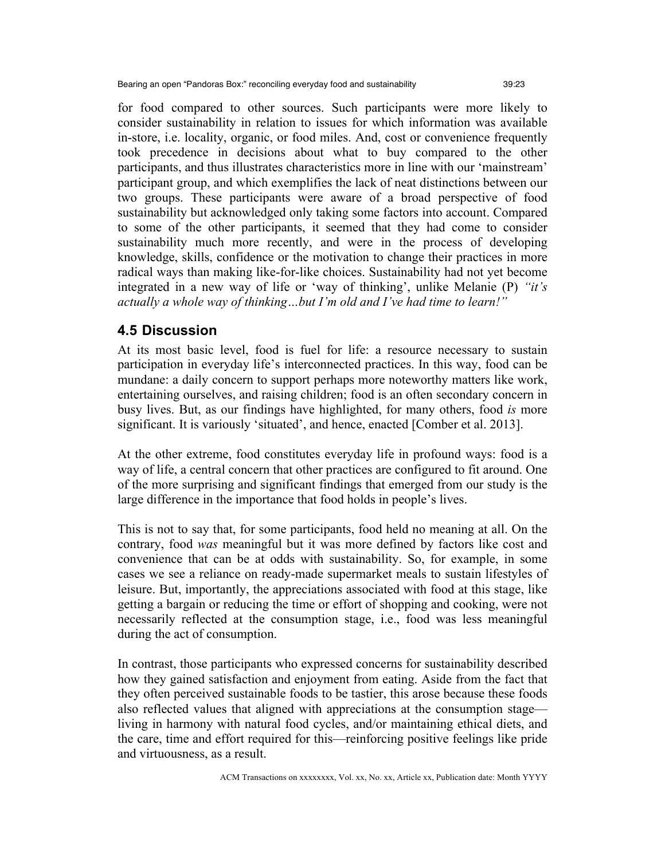for food compared to other sources. Such participants were more likely to consider sustainability in relation to issues for which information was available in-store, i.e. locality, organic, or food miles. And, cost or convenience frequently took precedence in decisions about what to buy compared to the other participants, and thus illustrates characteristics more in line with our 'mainstream' participant group, and which exemplifies the lack of neat distinctions between our two groups. These participants were aware of a broad perspective of food sustainability but acknowledged only taking some factors into account. Compared to some of the other participants, it seemed that they had come to consider sustainability much more recently, and were in the process of developing knowledge, skills, confidence or the motivation to change their practices in more radical ways than making like-for-like choices. Sustainability had not yet become integrated in a new way of life or 'way of thinking', unlike Melanie (P) *"it's actually a whole way of thinking…but I'm old and I've had time to learn!"* 

## **4.5 Discussion**

At its most basic level, food is fuel for life: a resource necessary to sustain participation in everyday life's interconnected practices. In this way, food can be mundane: a daily concern to support perhaps more noteworthy matters like work, entertaining ourselves, and raising children; food is an often secondary concern in busy lives. But, as our findings have highlighted, for many others, food *is* more significant. It is variously 'situated', and hence, enacted [Comber et al. 2013].

At the other extreme, food constitutes everyday life in profound ways: food is a way of life, a central concern that other practices are configured to fit around. One of the more surprising and significant findings that emerged from our study is the large difference in the importance that food holds in people's lives.

This is not to say that, for some participants, food held no meaning at all. On the contrary, food *was* meaningful but it was more defined by factors like cost and convenience that can be at odds with sustainability. So, for example, in some cases we see a reliance on ready-made supermarket meals to sustain lifestyles of leisure. But, importantly, the appreciations associated with food at this stage, like getting a bargain or reducing the time or effort of shopping and cooking, were not necessarily reflected at the consumption stage, i.e., food was less meaningful during the act of consumption.

In contrast, those participants who expressed concerns for sustainability described how they gained satisfaction and enjoyment from eating. Aside from the fact that they often perceived sustainable foods to be tastier, this arose because these foods also reflected values that aligned with appreciations at the consumption stage living in harmony with natural food cycles, and/or maintaining ethical diets, and the care, time and effort required for this—reinforcing positive feelings like pride and virtuousness, as a result.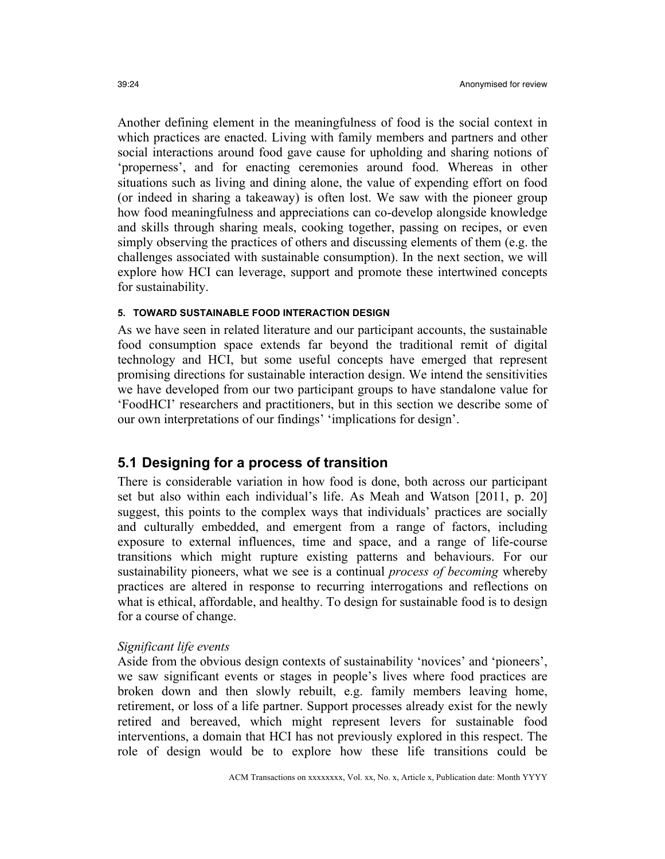Another defining element in the meaningfulness of food is the social context in which practices are enacted. Living with family members and partners and other social interactions around food gave cause for upholding and sharing notions of 'properness', and for enacting ceremonies around food. Whereas in other situations such as living and dining alone, the value of expending effort on food (or indeed in sharing a takeaway) is often lost. We saw with the pioneer group how food meaningfulness and appreciations can co-develop alongside knowledge and skills through sharing meals, cooking together, passing on recipes, or even simply observing the practices of others and discussing elements of them (e.g. the challenges associated with sustainable consumption). In the next section, we will explore how HCI can leverage, support and promote these intertwined concepts for sustainability.

#### **5. TOWARD SUSTAINABLE FOOD INTERACTION DESIGN**

As we have seen in related literature and our participant accounts, the sustainable food consumption space extends far beyond the traditional remit of digital technology and HCI, but some useful concepts have emerged that represent promising directions for sustainable interaction design. We intend the sensitivities we have developed from our two participant groups to have standalone value for 'FoodHCI' researchers and practitioners, but in this section we describe some of our own interpretations of our findings' 'implications for design'.

## **5.1 Designing for a process of transition**

There is considerable variation in how food is done, both across our participant set but also within each individual's life. As Meah and Watson [2011, p. 20] suggest, this points to the complex ways that individuals' practices are socially and culturally embedded, and emergent from a range of factors, including exposure to external influences, time and space, and a range of life-course transitions which might rupture existing patterns and behaviours. For our sustainability pioneers, what we see is a continual *process of becoming* whereby practices are altered in response to recurring interrogations and reflections on what is ethical, affordable, and healthy. To design for sustainable food is to design for a course of change.

#### *Significant life events*

Aside from the obvious design contexts of sustainability 'novices' and 'pioneers', we saw significant events or stages in people's lives where food practices are broken down and then slowly rebuilt, e.g. family members leaving home, retirement, or loss of a life partner. Support processes already exist for the newly retired and bereaved, which might represent levers for sustainable food interventions, a domain that HCI has not previously explored in this respect. The role of design would be to explore how these life transitions could be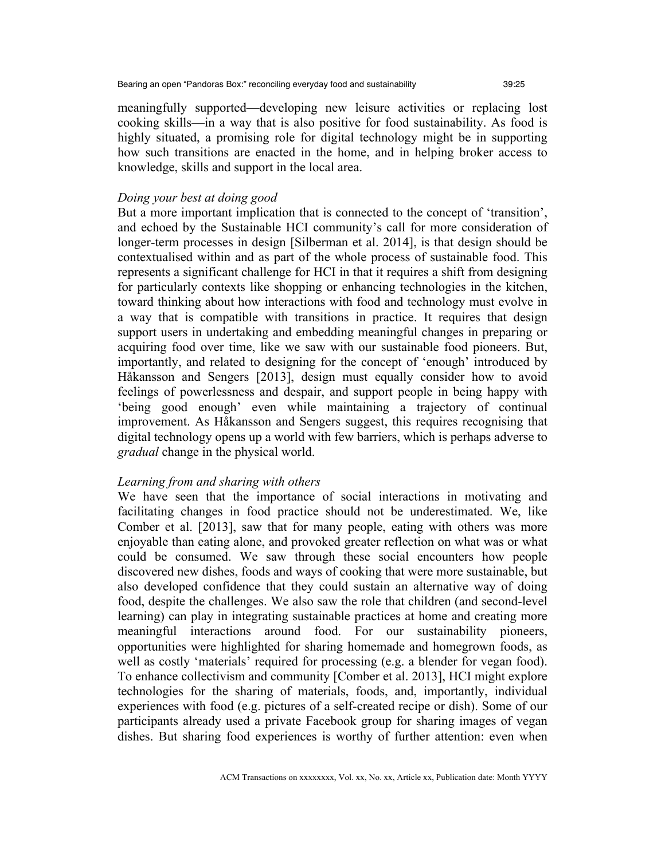meaningfully supported—developing new leisure activities or replacing lost cooking skills—in a way that is also positive for food sustainability. As food is highly situated, a promising role for digital technology might be in supporting how such transitions are enacted in the home, and in helping broker access to knowledge, skills and support in the local area.

#### *Doing your best at doing good*

But a more important implication that is connected to the concept of 'transition', and echoed by the Sustainable HCI community's call for more consideration of longer-term processes in design [Silberman et al. 2014], is that design should be contextualised within and as part of the whole process of sustainable food. This represents a significant challenge for HCI in that it requires a shift from designing for particularly contexts like shopping or enhancing technologies in the kitchen, toward thinking about how interactions with food and technology must evolve in a way that is compatible with transitions in practice. It requires that design support users in undertaking and embedding meaningful changes in preparing or acquiring food over time, like we saw with our sustainable food pioneers. But, importantly, and related to designing for the concept of 'enough' introduced by Håkansson and Sengers [2013], design must equally consider how to avoid feelings of powerlessness and despair, and support people in being happy with 'being good enough' even while maintaining a trajectory of continual improvement. As Håkansson and Sengers suggest, this requires recognising that digital technology opens up a world with few barriers, which is perhaps adverse to *gradual* change in the physical world.

#### *Learning from and sharing with others*

We have seen that the importance of social interactions in motivating and facilitating changes in food practice should not be underestimated. We, like Comber et al. [2013], saw that for many people, eating with others was more enjoyable than eating alone, and provoked greater reflection on what was or what could be consumed. We saw through these social encounters how people discovered new dishes, foods and ways of cooking that were more sustainable, but also developed confidence that they could sustain an alternative way of doing food, despite the challenges. We also saw the role that children (and second-level learning) can play in integrating sustainable practices at home and creating more meaningful interactions around food. For our sustainability pioneers, opportunities were highlighted for sharing homemade and homegrown foods, as well as costly 'materials' required for processing (e.g. a blender for vegan food). To enhance collectivism and community [Comber et al. 2013], HCI might explore technologies for the sharing of materials, foods, and, importantly, individual experiences with food (e.g. pictures of a self-created recipe or dish). Some of our participants already used a private Facebook group for sharing images of vegan dishes. But sharing food experiences is worthy of further attention: even when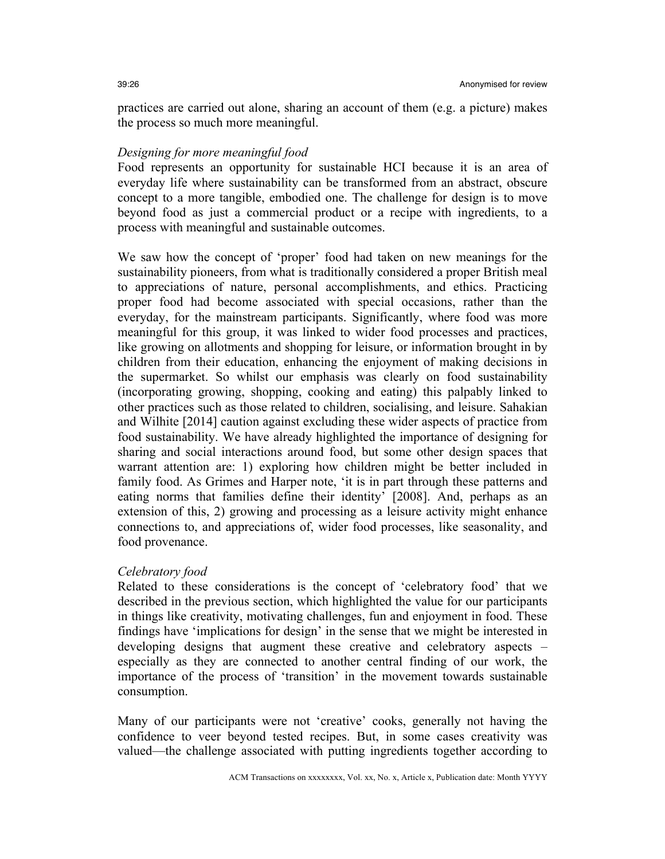practices are carried out alone, sharing an account of them (e.g. a picture) makes the process so much more meaningful.

## *Designing for more meaningful food*

Food represents an opportunity for sustainable HCI because it is an area of everyday life where sustainability can be transformed from an abstract, obscure concept to a more tangible, embodied one. The challenge for design is to move beyond food as just a commercial product or a recipe with ingredients, to a process with meaningful and sustainable outcomes.

We saw how the concept of 'proper' food had taken on new meanings for the sustainability pioneers, from what is traditionally considered a proper British meal to appreciations of nature, personal accomplishments, and ethics. Practicing proper food had become associated with special occasions, rather than the everyday, for the mainstream participants. Significantly, where food was more meaningful for this group, it was linked to wider food processes and practices, like growing on allotments and shopping for leisure, or information brought in by children from their education, enhancing the enjoyment of making decisions in the supermarket. So whilst our emphasis was clearly on food sustainability (incorporating growing, shopping, cooking and eating) this palpably linked to other practices such as those related to children, socialising, and leisure. Sahakian and Wilhite [2014] caution against excluding these wider aspects of practice from food sustainability. We have already highlighted the importance of designing for sharing and social interactions around food, but some other design spaces that warrant attention are: 1) exploring how children might be better included in family food. As Grimes and Harper note, 'it is in part through these patterns and eating norms that families define their identity' [2008]. And, perhaps as an extension of this, 2) growing and processing as a leisure activity might enhance connections to, and appreciations of, wider food processes, like seasonality, and food provenance.

## *Celebratory food*

Related to these considerations is the concept of 'celebratory food' that we described in the previous section, which highlighted the value for our participants in things like creativity, motivating challenges, fun and enjoyment in food. These findings have 'implications for design' in the sense that we might be interested in developing designs that augment these creative and celebratory aspects – especially as they are connected to another central finding of our work, the importance of the process of 'transition' in the movement towards sustainable consumption.

Many of our participants were not 'creative' cooks, generally not having the confidence to veer beyond tested recipes. But, in some cases creativity was valued—the challenge associated with putting ingredients together according to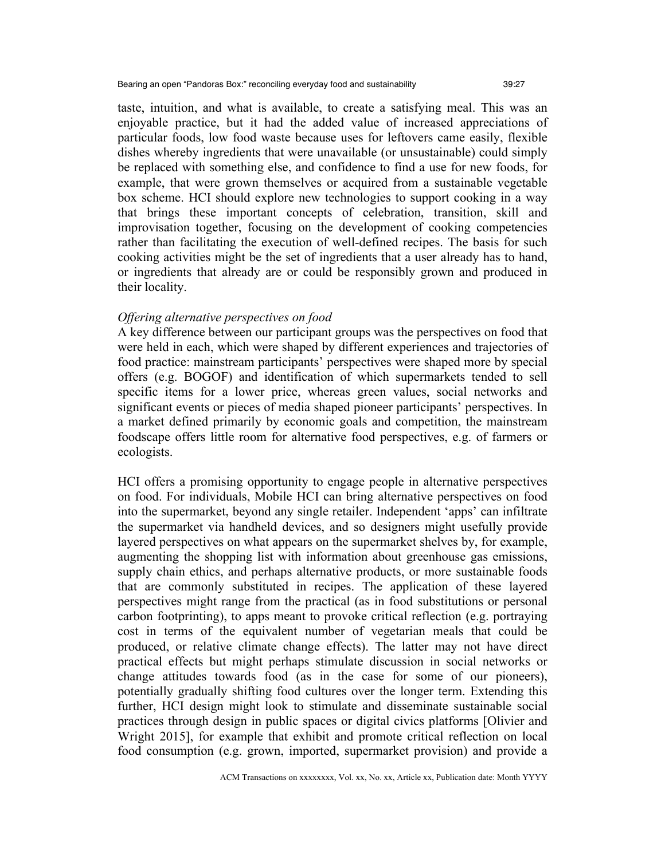taste, intuition, and what is available, to create a satisfying meal. This was an enjoyable practice, but it had the added value of increased appreciations of particular foods, low food waste because uses for leftovers came easily, flexible dishes whereby ingredients that were unavailable (or unsustainable) could simply be replaced with something else, and confidence to find a use for new foods, for example, that were grown themselves or acquired from a sustainable vegetable box scheme. HCI should explore new technologies to support cooking in a way that brings these important concepts of celebration, transition, skill and improvisation together, focusing on the development of cooking competencies rather than facilitating the execution of well-defined recipes. The basis for such cooking activities might be the set of ingredients that a user already has to hand, or ingredients that already are or could be responsibly grown and produced in their locality.

#### *Offering alternative perspectives on food*

A key difference between our participant groups was the perspectives on food that were held in each, which were shaped by different experiences and trajectories of food practice: mainstream participants' perspectives were shaped more by special offers (e.g. BOGOF) and identification of which supermarkets tended to sell specific items for a lower price, whereas green values, social networks and significant events or pieces of media shaped pioneer participants' perspectives. In a market defined primarily by economic goals and competition, the mainstream foodscape offers little room for alternative food perspectives, e.g. of farmers or ecologists.

HCI offers a promising opportunity to engage people in alternative perspectives on food. For individuals, Mobile HCI can bring alternative perspectives on food into the supermarket, beyond any single retailer. Independent 'apps' can infiltrate the supermarket via handheld devices, and so designers might usefully provide layered perspectives on what appears on the supermarket shelves by, for example, augmenting the shopping list with information about greenhouse gas emissions, supply chain ethics, and perhaps alternative products, or more sustainable foods that are commonly substituted in recipes. The application of these layered perspectives might range from the practical (as in food substitutions or personal carbon footprinting), to apps meant to provoke critical reflection (e.g. portraying cost in terms of the equivalent number of vegetarian meals that could be produced, or relative climate change effects). The latter may not have direct practical effects but might perhaps stimulate discussion in social networks or change attitudes towards food (as in the case for some of our pioneers), potentially gradually shifting food cultures over the longer term. Extending this further, HCI design might look to stimulate and disseminate sustainable social practices through design in public spaces or digital civics platforms [Olivier and Wright 2015], for example that exhibit and promote critical reflection on local food consumption (e.g. grown, imported, supermarket provision) and provide a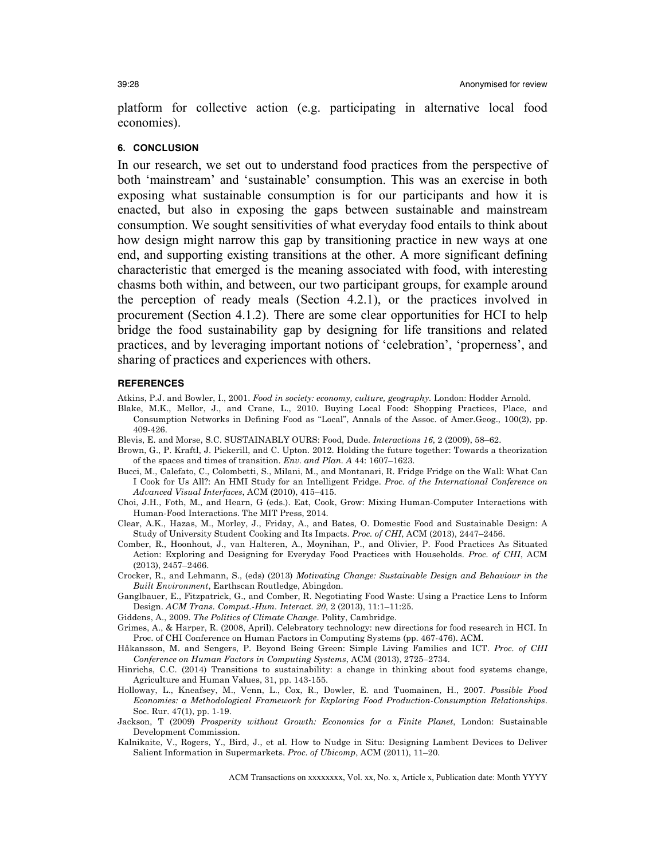platform for collective action (e.g. participating in alternative local food economies).

#### **6. CONCLUSION**

In our research, we set out to understand food practices from the perspective of both 'mainstream' and 'sustainable' consumption. This was an exercise in both exposing what sustainable consumption is for our participants and how it is enacted, but also in exposing the gaps between sustainable and mainstream consumption. We sought sensitivities of what everyday food entails to think about how design might narrow this gap by transitioning practice in new ways at one end, and supporting existing transitions at the other. A more significant defining characteristic that emerged is the meaning associated with food, with interesting chasms both within, and between, our two participant groups, for example around the perception of ready meals (Section 4.2.1), or the practices involved in procurement (Section 4.1.2). There are some clear opportunities for HCI to help bridge the food sustainability gap by designing for life transitions and related practices, and by leveraging important notions of 'celebration', 'properness', and sharing of practices and experiences with others.

#### **REFERENCES**

- Atkins, P.J. and Bowler, I., 2001. *Food in society: economy, culture, geography.* London: Hodder Arnold.
- Blake, M.K., Mellor, J., and Crane, L., 2010. Buying Local Food: Shopping Practices, Place, and Consumption Networks in Defining Food as "Local", Annals of the Assoc. of Amer.Geog., 100(2), pp. 409-426.
- Blevis, E. and Morse, S.C. SUSTAINABLY OURS: Food, Dude. *Interactions 16*, 2 (2009), 58–62.
- Brown, G., P. Kraftl, J. Pickerill, and C. Upton. 2012. Holding the future together: Towards a theorization of the spaces and times of transition. *Env. and Plan. A* 44: 1607–1623.
- Bucci, M., Calefato, C., Colombetti, S., Milani, M., and Montanari, R. Fridge Fridge on the Wall: What Can I Cook for Us All?: An HMI Study for an Intelligent Fridge. *Proc. of the International Conference on Advanced Visual Interfaces*, ACM (2010), 415–415.
- Choi, J.H., Foth, M., and Hearn, G (eds.). Eat, Cook, Grow: Mixing Human-Computer Interactions with Human-Food Interactions. The MIT Press, 2014.
- Clear, A.K., Hazas, M., Morley, J., Friday, A., and Bates, O. Domestic Food and Sustainable Design: A Study of University Student Cooking and Its Impacts. *Proc. of CHI*, ACM (2013), 2447–2456.
- Comber, R., Hoonhout, J., van Halteren, A., Moynihan, P., and Olivier, P. Food Practices As Situated Action: Exploring and Designing for Everyday Food Practices with Households. *Proc. of CHI*, ACM (2013), 2457–2466.
- Crocker, R., and Lehmann, S., (eds) (2013) *Motivating Change: Sustainable Design and Behaviour in the Built Environment*, Earthscan Routledge, Abingdon.
- Ganglbauer, E., Fitzpatrick, G., and Comber, R. Negotiating Food Waste: Using a Practice Lens to Inform Design. *ACM Trans. Comput.-Hum. Interact. 20*, 2 (2013), 11:1–11:25.
- Giddens, A., 2009. *The Politics of Climate Change*. Polity, Cambridge.
- Grimes, A., & Harper, R. (2008, April). Celebratory technology: new directions for food research in HCI. In Proc. of CHI Conference on Human Factors in Computing Systems (pp. 467-476). ACM.
- Håkansson, M. and Sengers, P. Beyond Being Green: Simple Living Families and ICT. *Proc. of CHI Conference on Human Factors in Computing Systems*, ACM (2013), 2725–2734.
- Hinrichs, C.C. (2014) Transitions to sustainability: a change in thinking about food systems change, Agriculture and Human Values, 31, pp. 143-155.
- Holloway, L., Kneafsey, M., Venn, L., Cox, R., Dowler, E. and Tuomainen, H., 2007. *Possible Food Economies: a Methodological Framework for Exploring Food Production-Consumption Relationships*. Soc. Rur. 47(1), pp. 1-19.
- Jackson, T (2009) *Prosperity without Growth: Economics for a Finite Planet*, London: Sustainable Development Commission.
- Kalnikaite, V., Rogers, Y., Bird, J., et al. How to Nudge in Situ: Designing Lambent Devices to Deliver Salient Information in Supermarkets. *Proc. of Ubicomp*, ACM (2011), 11–20.

ACM Transactions on xxxxxxxx, Vol. xx, No. x, Article x, Publication date: Month YYYY